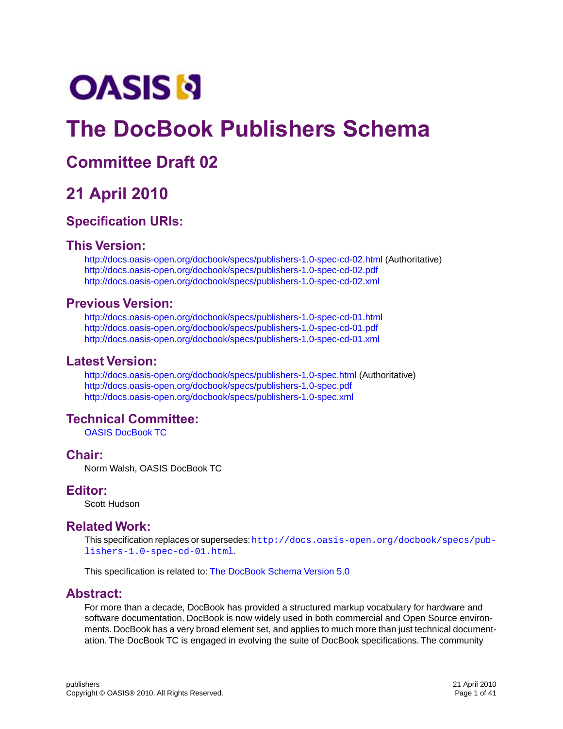

# **The DocBook Publishers Schema**

## **Committee Draft 02**

# **21 April 2010**

## **Specification URIs:**

### **This Version:**

<http://docs.oasis-open.org/docbook/specs/publishers-1.0-spec-cd-02.html> (Authoritative) <http://docs.oasis-open.org/docbook/specs/publishers-1.0-spec-cd-02.pdf> <http://docs.oasis-open.org/docbook/specs/publishers-1.0-spec-cd-02.xml>

### **Previous Version:**

<http://docs.oasis-open.org/docbook/specs/publishers-1.0-spec-cd-01.html> <http://docs.oasis-open.org/docbook/specs/publishers-1.0-spec-cd-01.pdf> <http://docs.oasis-open.org/docbook/specs/publishers-1.0-spec-cd-01.xml>

### **Latest Version:**

<http://docs.oasis-open.org/docbook/specs/publishers-1.0-spec.html>(Authoritative) <http://docs.oasis-open.org/docbook/specs/publishers-1.0-spec.pdf> <http://docs.oasis-open.org/docbook/specs/publishers-1.0-spec.xml>

### **Technical Committee:**

[OASIS DocBook TC](http://www.oasis-open.org/committees/tc_home.php?wg_abbrev=docbook)

### **Chair:**

Norm Walsh, OASIS DocBook TC

### **Editor:**

Scott Hudson

### **Related Work:**

This specification replaces or supersedes:[http://docs.oasis-open.org/docbook/specs/pub](http://docs.oasis-open.org/docbook/specs/publishers-1.0-spec-cd-01.html)[lishers-1.0-spec-cd-01.html](http://docs.oasis-open.org/docbook/specs/publishers-1.0-spec-cd-01.html).

This specification is related to: [The DocBook Schema Version 5.0](http://docs.oasis-open.org/docbook/specs/docbook-5.0-spec.html)

### **Abstract:**

For more than a decade, DocBook has provided a structured markup vocabulary for hardware and software documentation. DocBook is now widely used in both commercial and Open Source environments. DocBook has a very broad element set, and applies to much more than just technical documentation. The DocBook TC is engaged in evolving the suite of DocBook specifications. The community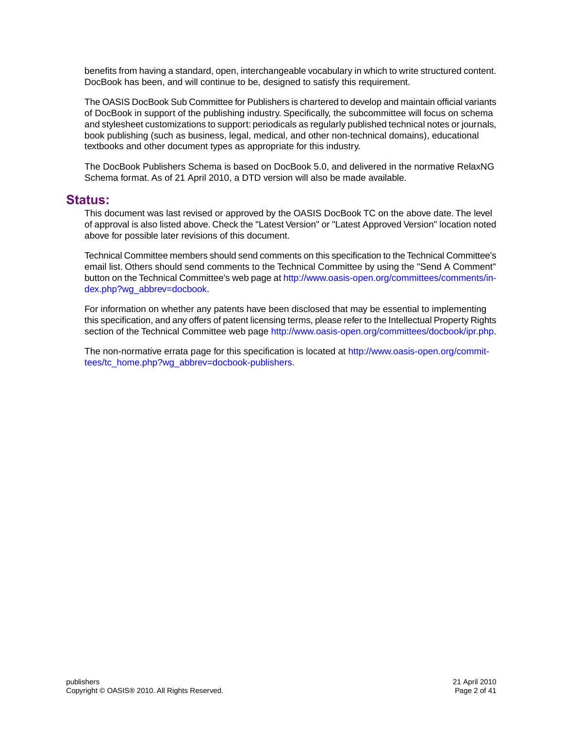benefits from having a standard, open, interchangeable vocabulary in which to write structured content. DocBook has been, and will continue to be, designed to satisfy this requirement.

The OASIS DocBook Sub Committee for Publishers is chartered to develop and maintain official variants of DocBook in support of the publishing industry. Specifically, the subcommittee will focus on schema and stylesheet customizations to support: periodicals as regularly published technical notes or journals, book publishing (such as business, legal, medical, and other non-technical domains), educational textbooks and other document types as appropriate for this industry.

The DocBook Publishers Schema is based on DocBook 5.0, and delivered in the normative RelaxNG Schema format. As of 21 April 2010, a DTD version will also be made available.

### **Status:**

This document was last revised or approved by the OASIS DocBook TC on the above date. The level of approval is also listed above. Check the "Latest Version" or "Latest Approved Version" location noted above for possible later revisions of this document.

Technical Committee members should send comments on this specification to the Technical Committee's email list. Others should send comments to the Technical Committee by using the "Send A Comment" button on the Technical Committee's web page at [http://www.oasis-open.org/committees/comments/in](http://www.oasis-open.org/committees/comments/index.php?wg_abbrev=docbook)[dex.php?wg\\_abbrev=docbook.](http://www.oasis-open.org/committees/comments/index.php?wg_abbrev=docbook)

For information on whether any patents have been disclosed that may be essential to implementing this specification, and any offers of patent licensing terms, please refer to the Intellectual Property Rights section of the Technical Committee web page <http://www.oasis-open.org/committees/docbook/ipr.php>.

The non-normative errata page for this specification is located at [http://www.oasis-open.org/commit](http://www.oasis-open.org/committees/tc_home.php?wg_abbrev=docbook-publishers)[tees/tc\\_home.php?wg\\_abbrev=docbook-publishers.](http://www.oasis-open.org/committees/tc_home.php?wg_abbrev=docbook-publishers)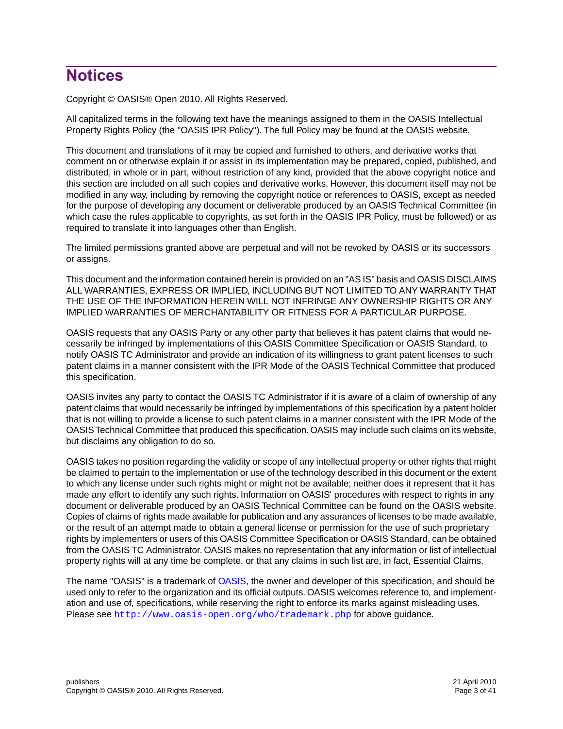# **Notices**

Copyright © OASIS® Open 2010. All Rights Reserved.

All capitalized terms in the following text have the meanings assigned to them in the OASIS Intellectual Property Rights Policy (the "OASIS IPR Policy"). The full Policy may be found at the OASIS website.

This document and translations of it may be copied and furnished to others, and derivative works that comment on or otherwise explain it or assist in its implementation may be prepared, copied, published, and distributed, in whole or in part, without restriction of any kind, provided that the above copyright notice and this section are included on all such copies and derivative works. However, this document itself may not be modified in any way, including by removing the copyright notice or references to OASIS, except as needed for the purpose of developing any document or deliverable produced by an OASIS Technical Committee (in which case the rules applicable to copyrights, as set forth in the OASIS IPR Policy, must be followed) or as required to translate it into languages other than English.

The limited permissions granted above are perpetual and will not be revoked by OASIS or its successors or assigns.

This document and the information contained herein is provided on an "AS IS" basis and OASIS DISCLAIMS ALL WARRANTIES, EXPRESS OR IMPLIED, INCLUDING BUT NOT LIMITED TO ANY WARRANTY THAT THE USE OF THE INFORMATION HEREIN WILL NOT INFRINGE ANY OWNERSHIP RIGHTS OR ANY IMPLIED WARRANTIES OF MERCHANTABILITY OR FITNESS FOR A PARTICULAR PURPOSE.

OASIS requests that any OASIS Party or any other party that believes it has patent claims that would necessarily be infringed by implementations of this OASIS Committee Specification or OASIS Standard, to notify OASIS TC Administrator and provide an indication of its willingness to grant patent licenses to such patent claims in a manner consistent with the IPR Mode of the OASIS Technical Committee that produced this specification.

OASIS invites any party to contact the OASIS TC Administrator if it is aware of a claim of ownership of any patent claims that would necessarily be infringed by implementations of this specification by a patent holder that is not willing to provide a license to such patent claims in a manner consistent with the IPR Mode of the OASIS Technical Committee that produced this specification. OASIS may include such claims on its website, but disclaims any obligation to do so.

OASIS takes no position regarding the validity or scope of any intellectual property or other rights that might be claimed to pertain to the implementation or use of the technology described in this document or the extent to which any license under such rights might or might not be available; neither does it represent that it has made any effort to identify any such rights. Information on OASIS' procedures with respect to rights in any document or deliverable produced by an OASIS Technical Committee can be found on the OASIS website. Copies of claims of rights made available for publication and any assurances of licenses to be made available, or the result of an attempt made to obtain a general license or permission for the use of such proprietary rights by implementers or users of this OASIS Committee Specification or OASIS Standard, can be obtained from the OASIS TC Administrator. OASIS makes no representation that any information or list of intellectual property rights will at any time be complete, or that any claims in such list are, in fact, Essential Claims.

The name "OASIS" is a trademark of [OASIS,](http://www.oasis-open.org) the owner and developer of this specification, and should be used only to refer to the organization and its official outputs. OASIS welcomes reference to, and implementation and use of, specifications, while reserving the right to enforce its marks against misleading uses. Please see <http://www.oasis-open.org/who/trademark.php> for above guidance.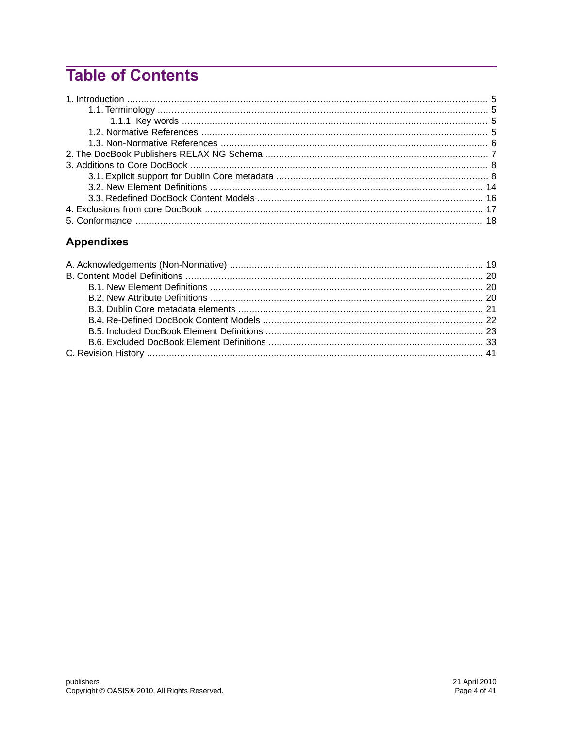# **Table of Contents**

## **Appendixes**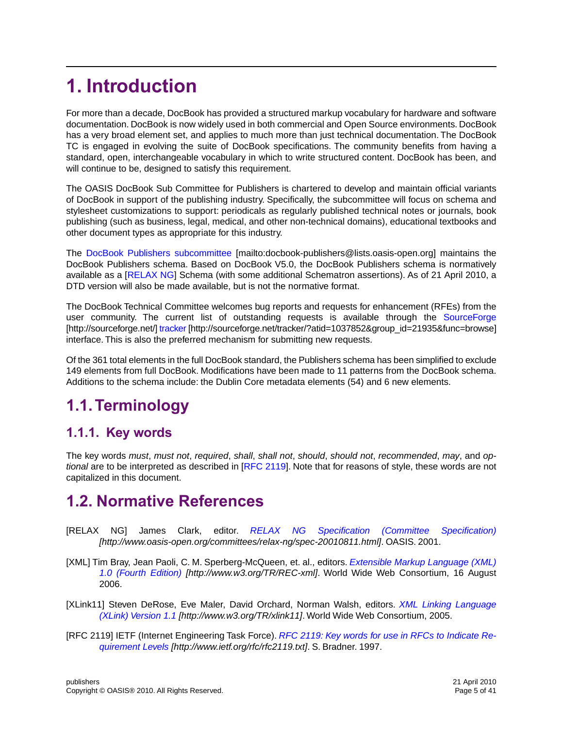# <span id="page-4-0"></span>**1. Introduction**

For more than a decade, DocBook has provided a structured markup vocabulary for hardware and software documentation. DocBook is now widely used in both commercial and Open Source environments. DocBook has a very broad element set, and applies to much more than just technical documentation. The DocBook TC is engaged in evolving the suite of DocBook specifications. The community benefits from having a standard, open, interchangeable vocabulary in which to write structured content. DocBook has been, and will continue to be, designed to satisfy this requirement.

The OASIS DocBook Sub Committee for Publishers is chartered to develop and maintain official variants of DocBook in support of the publishing industry. Specifically, the subcommittee will focus on schema and stylesheet customizations to support: periodicals as regularly published technical notes or journals, book publishing (such as business, legal, medical, and other non-technical domains), educational textbooks and other document types as appropriate for this industry.

The [DocBook Publishers subcommittee](mailto:docbook-publishers@lists.oasis-open.org) [mailto:docbook-publishers@lists.oasis-open.org] maintains the DocBook Publishers schema. Based on DocBook V5.0, the DocBook Publishers schema is normatively available as a [[RELAX NG](#page-4-4)] Schema (with some additional Schematron assertions). As of 21 April 2010, a DTD version will also be made available, but is not the normative format.

The DocBook Technical Committee welcomes bug reports and requests for enhancement (RFEs) from the user community. The current list of outstanding requests is available through the [SourceForge](http://sourceforge.net/) [http://sourceforge.net/][tracker](http://sourceforge.net/tracker/?atid=1037852&group_id=21935&func=browse) [http://sourceforge.net/tracker/?atid=1037852&group\_id=21935&func=browse] interface. This is also the preferred mechanism for submitting new requests.

<span id="page-4-2"></span><span id="page-4-1"></span>Of the 361 total elements in the full DocBook standard, the Publishers schema has been simplified to exclude 149 elements from full DocBook. Modifications have been made to 11 patterns from the DocBook schema. Additions to the schema include: the Dublin Core metadata elements (54) and 6 new elements.

# **1.1.Terminology**

## <span id="page-4-3"></span>**1.1.1. Key words**

The key words *must*, *must not*, *required*, *shall*, *shall not*, *should*, *should not*, *recommended*, *may*, and *optional* are to be interpreted as described in [\[RFC 2119\]](#page-4-5). Note that for reasons of style, these words are not capitalized in this document.

# <span id="page-4-4"></span>**1.2. Normative References**

- [RELAX NG] James Clark, editor. *[RELAX NG Specification \(Committee Specification\)](http://www.oasis-open.org/committees/relax-ng/spec-20010811.html) [http://www.oasis-open.org/committees/relax-ng/spec-20010811.html]*. OASIS. 2001.
- <span id="page-4-5"></span>[XML] Tim Bray, Jean Paoli, C. M. Sperberg-McQueen, et. al., editors. *[Extensible Markup Language \(XML\)](http://www.w3.org/TR/REC-xml) [1.0 \(Fourth Edition\)](http://www.w3.org/TR/REC-xml) [http://www.w3.org/TR/REC-xml]*. World Wide Web Consortium, 16 August 2006.
- [XLink11] Steven DeRose, Eve Maler, David Orchard, Norman Walsh, editors. *[XML Linking Language](http://www.w3.org/TR/xlink11) [\(XLink\) Version 1.1](http://www.w3.org/TR/xlink11) [http://www.w3.org/TR/xlink11]*. World Wide Web Consortium, 2005.
- [RFC 2119] IETF (Internet Engineering Task Force). *[RFC 2119: Key words for use in RFCs to Indicate Re](http://www.ietf.org/rfc/rfc2119.txt)[quirement Levels](http://www.ietf.org/rfc/rfc2119.txt) [http://www.ietf.org/rfc/rfc2119.txt]*. S. Bradner. 1997.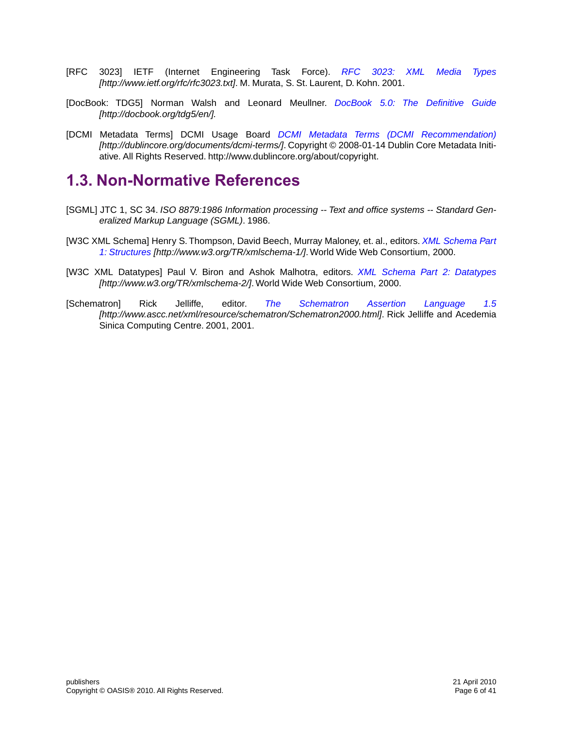- [RFC 3023] IETF (Internet Engineering Task Force). *[RFC 3023: XML Media Types](http://www.ietf.org/rfc/rfc3023.txt) [http://www.ietf.org/rfc/rfc3023.txt]*. M. Murata, S. St. Laurent, D. Kohn. 2001.
- [DocBook: TDG5] Norman Walsh and Leonard Meullner. *[DocBook 5.0: The Definitive Guide](http://docbook.org/tdg5/en/) [http://docbook.org/tdg5/en/].*
- <span id="page-5-0"></span>[DCMI Metadata Terms] DCMI Usage Board *[DCMI Metadata Terms \(DCMI Recommendation\)](http://dublincore.org/documents/dcmi-terms/) [http://dublincore.org/documents/dcmi-terms/]*. Copyright © 2008-01-14 Dublin Core Metadata Initiative. All Rights Reserved. http://www.dublincore.org/about/copyright.

# **1.3. Non-Normative References**

- [SGML] JTC 1, SC 34. *ISO 8879:1986 Information processing -- Text and office systems -- Standard Generalized Markup Language (SGML)*. 1986.
- [W3C XML Schema] Henry S. Thompson, David Beech, Murray Maloney, et. al., editors. *[XML Schema Part](http://www.w3.org/TR/xmlschema-1/) [1: Structures](http://www.w3.org/TR/xmlschema-1/) [http://www.w3.org/TR/xmlschema-1/]*. World Wide Web Consortium, 2000.
- [W3C XML Datatypes] Paul V. Biron and Ashok Malhotra, editors. *[XML Schema Part 2: Datatypes](http://www.w3.org/TR/xmlschema-2/) [http://www.w3.org/TR/xmlschema-2/]*. World Wide Web Consortium, 2000.
- [Schematron] Rick Jelliffe, editor. *[The Schematron Assertion Language 1.5](http://www.ascc.net/xml/resource/schematron/Schematron2000.html) [http://www.ascc.net/xml/resource/schematron/Schematron2000.html]*. Rick Jelliffe and Acedemia Sinica Computing Centre. 2001, 2001.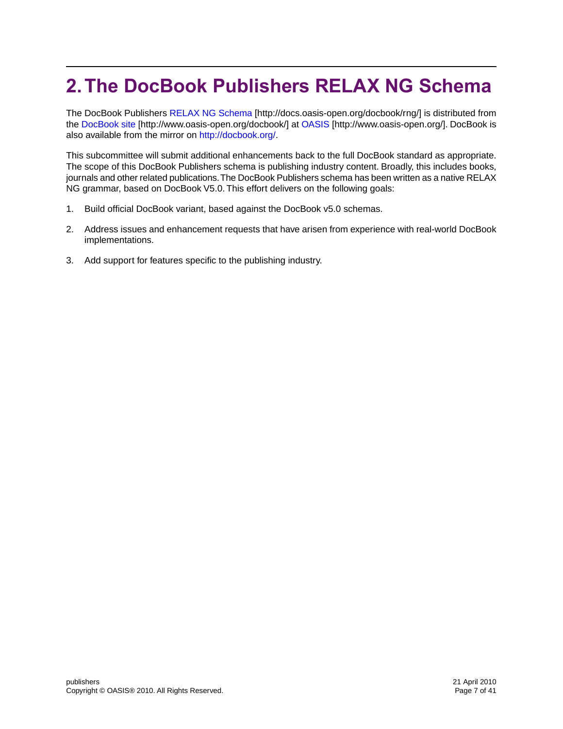# <span id="page-6-0"></span>**2.The DocBook Publishers RELAX NG Schema**

The DocBook Publishers [RELAX NG Schema](http://docs.oasis-open.org/docbook/rng/) [http://docs.oasis-open.org/docbook/rng/] is distributed from the [DocBook site](http://www.oasis-open.org/docbook/) [http://www.oasis-open.org/docbook/] at [OASIS](http://www.oasis-open.org/) [http://www.oasis-open.org/]. DocBook is also available from the mirror on [http://docbook.org/.](http://docbook.org/)

This subcommittee will submit additional enhancements back to the full DocBook standard as appropriate. The scope of this DocBook Publishers schema is publishing industry content. Broadly, this includes books, journals and other related publications.The DocBook Publishers schema has been written as a native RELAX NG grammar, based on DocBook V5.0. This effort delivers on the following goals:

- 1. Build official DocBook variant, based against the DocBook v5.0 schemas.
- 2. Address issues and enhancement requests that have arisen from experience with real-world DocBook implementations.
- 3. Add support for features specific to the publishing industry.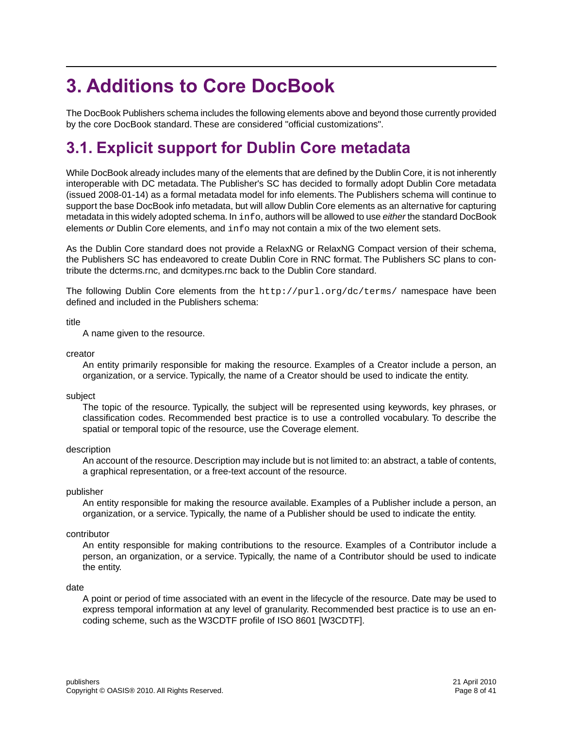# <span id="page-7-0"></span>**3. Additions to Core DocBook**

<span id="page-7-1"></span>The DocBook Publishers schema includes the following elements above and beyond those currently provided by the core DocBook standard. These are considered "official customizations".

# **3.1. Explicit support for Dublin Core metadata**

While DocBook already includes many of the elements that are defined by the Dublin Core, it is not inherently interoperable with DC metadata. The Publisher's SC has decided to formally adopt Dublin Core metadata (issued 2008-01-14) as a formal metadata model for info elements. The Publishers schema will continue to support the base DocBook info metadata, but will allow Dublin Core elements as an alternative for capturing metadata in this widely adopted schema. In info, authors will be allowed to use *either* the standard DocBook elements *or* Dublin Core elements, and info may not contain a mix of the two element sets.

As the Dublin Core standard does not provide a RelaxNG or RelaxNG Compact version of their schema, the Publishers SC has endeavored to create Dublin Core in RNC format. The Publishers SC plans to contribute the dcterms.rnc, and dcmitypes.rnc back to the Dublin Core standard.

The following Dublin Core elements from the http://purl.org/dc/terms/ namespace have been defined and included in the Publishers schema:

#### title

A name given to the resource.

#### creator

An entity primarily responsible for making the resource. Examples of a Creator include a person, an organization, or a service. Typically, the name of a Creator should be used to indicate the entity.

#### subject

The topic of the resource. Typically, the subject will be represented using keywords, key phrases, or classification codes. Recommended best practice is to use a controlled vocabulary. To describe the spatial or temporal topic of the resource, use the Coverage element.

#### description

An account of the resource. Description may include but is not limited to: an abstract, a table of contents, a graphical representation, or a free-text account of the resource.

#### publisher

An entity responsible for making the resource available. Examples of a Publisher include a person, an organization, or a service. Typically, the name of a Publisher should be used to indicate the entity.

#### contributor

An entity responsible for making contributions to the resource. Examples of a Contributor include a person, an organization, or a service. Typically, the name of a Contributor should be used to indicate the entity.

#### date

A point or period of time associated with an event in the lifecycle of the resource. Date may be used to express temporal information at any level of granularity. Recommended best practice is to use an encoding scheme, such as the W3CDTF profile of ISO 8601 [W3CDTF].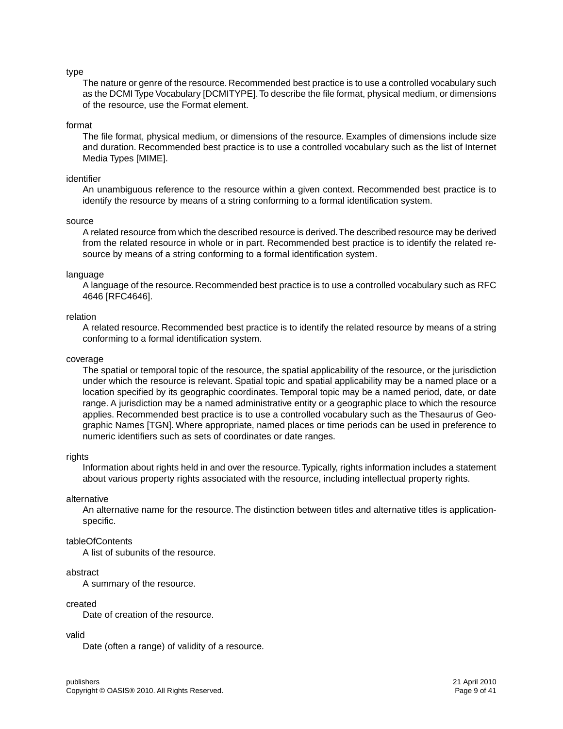#### type

The nature or genre of the resource. Recommended best practice is to use a controlled vocabulary such as the DCMI Type Vocabulary [DCMITYPE].To describe the file format, physical medium, or dimensions of the resource, use the Format element.

#### format

The file format, physical medium, or dimensions of the resource. Examples of dimensions include size and duration. Recommended best practice is to use a controlled vocabulary such as the list of Internet Media Types [MIME].

#### identifier

An unambiguous reference to the resource within a given context. Recommended best practice is to identify the resource by means of a string conforming to a formal identification system.

#### source

A related resource from which the described resource is derived.The described resource may be derived from the related resource in whole or in part. Recommended best practice is to identify the related resource by means of a string conforming to a formal identification system.

#### language

A language of the resource. Recommended best practice is to use a controlled vocabulary such as RFC 4646 [RFC4646].

#### relation

A related resource. Recommended best practice is to identify the related resource by means of a string conforming to a formal identification system.

#### coverage

The spatial or temporal topic of the resource, the spatial applicability of the resource, or the jurisdiction under which the resource is relevant. Spatial topic and spatial applicability may be a named place or a location specified by its geographic coordinates. Temporal topic may be a named period, date, or date range. A jurisdiction may be a named administrative entity or a geographic place to which the resource applies. Recommended best practice is to use a controlled vocabulary such as the Thesaurus of Geographic Names [TGN]. Where appropriate, named places or time periods can be used in preference to numeric identifiers such as sets of coordinates or date ranges.

#### rights

Information about rights held in and over the resource.Typically, rights information includes a statement about various property rights associated with the resource, including intellectual property rights.

#### alternative

An alternative name for the resource. The distinction between titles and alternative titles is applicationspecific.

#### tableOfContents

A list of subunits of the resource.

#### abstract

A summary of the resource.

#### created

Date of creation of the resource.

#### valid

Date (often a range) of validity of a resource.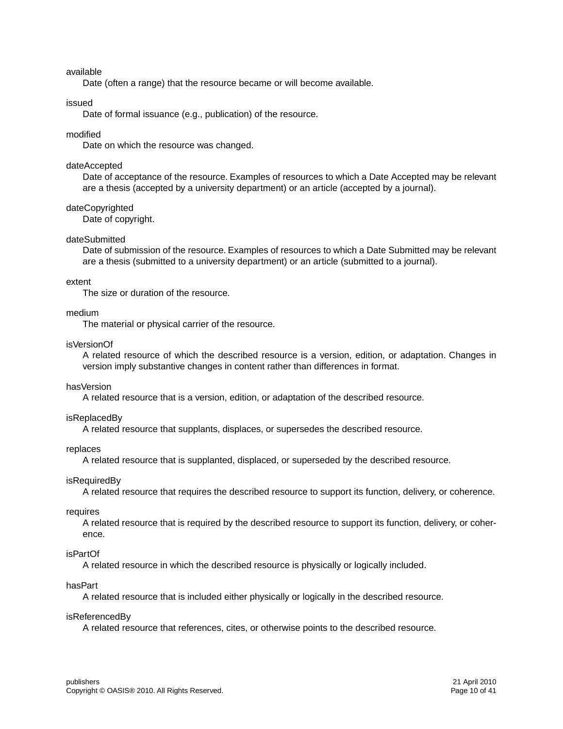#### available

Date (often a range) that the resource became or will become available.

#### issued

Date of formal issuance (e.g., publication) of the resource.

#### modified

Date on which the resource was changed.

#### dateAccepted

Date of acceptance of the resource. Examples of resources to which a Date Accepted may be relevant are a thesis (accepted by a university department) or an article (accepted by a journal).

#### dateCopyrighted

Date of copyright.

#### dateSubmitted

Date of submission of the resource. Examples of resources to which a Date Submitted may be relevant are a thesis (submitted to a university department) or an article (submitted to a journal).

#### extent

The size or duration of the resource.

#### medium

The material or physical carrier of the resource.

#### isVersionOf

A related resource of which the described resource is a version, edition, or adaptation. Changes in version imply substantive changes in content rather than differences in format.

#### hasVersion

A related resource that is a version, edition, or adaptation of the described resource.

#### isReplacedBy

A related resource that supplants, displaces, or supersedes the described resource.

#### replaces

A related resource that is supplanted, displaced, or superseded by the described resource.

#### isRequiredBy

A related resource that requires the described resource to support its function, delivery, or coherence.

#### requires

A related resource that is required by the described resource to support its function, delivery, or coherence.

#### isPartOf

A related resource in which the described resource is physically or logically included.

#### hasPart

A related resource that is included either physically or logically in the described resource.

#### isReferencedBy

A related resource that references, cites, or otherwise points to the described resource.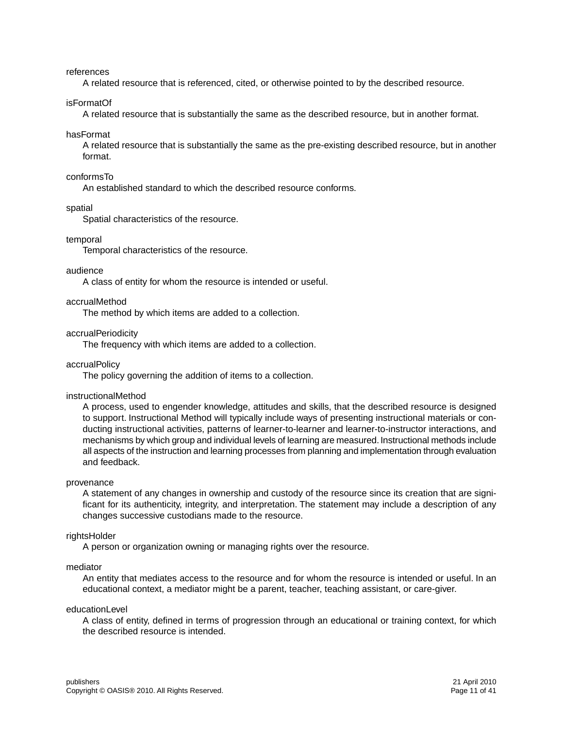references

A related resource that is referenced, cited, or otherwise pointed to by the described resource.

isFormatOf

A related resource that is substantially the same as the described resource, but in another format.

#### hasFormat

A related resource that is substantially the same as the pre-existing described resource, but in another format.

#### conformsTo

An established standard to which the described resource conforms.

spatial

Spatial characteristics of the resource.

#### temporal

Temporal characteristics of the resource.

#### audience

A class of entity for whom the resource is intended or useful.

#### accrualMethod

The method by which items are added to a collection.

#### accrualPeriodicity

The frequency with which items are added to a collection.

#### accrualPolicy

The policy governing the addition of items to a collection.

#### instructionalMethod

A process, used to engender knowledge, attitudes and skills, that the described resource is designed to support. Instructional Method will typically include ways of presenting instructional materials or conducting instructional activities, patterns of learner-to-learner and learner-to-instructor interactions, and mechanisms by which group and individual levels of learning are measured. Instructional methods include all aspects of the instruction and learning processes from planning and implementation through evaluation and feedback.

#### provenance

A statement of any changes in ownership and custody of the resource since its creation that are significant for its authenticity, integrity, and interpretation. The statement may include a description of any changes successive custodians made to the resource.

#### rightsHolder

A person or organization owning or managing rights over the resource.

#### mediator

An entity that mediates access to the resource and for whom the resource is intended or useful. In an educational context, a mediator might be a parent, teacher, teaching assistant, or care-giver.

#### educationLevel

A class of entity, defined in terms of progression through an educational or training context, for which the described resource is intended.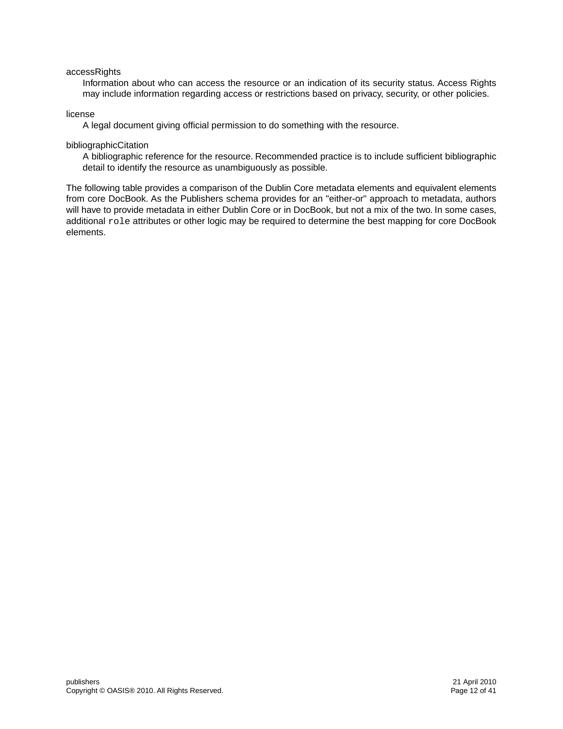#### accessRights

Information about who can access the resource or an indication of its security status. Access Rights may include information regarding access or restrictions based on privacy, security, or other policies.

#### license

A legal document giving official permission to do something with the resource.

#### bibliographicCitation

A bibliographic reference for the resource. Recommended practice is to include sufficient bibliographic detail to identify the resource as unambiguously as possible.

The following table provides a comparison of the Dublin Core metadata elements and equivalent elements from core DocBook. As the Publishers schema provides for an "either-or" approach to metadata, authors will have to provide metadata in either Dublin Core or in DocBook, but not a mix of the two. In some cases, additional role attributes or other logic may be required to determine the best mapping for core DocBook elements.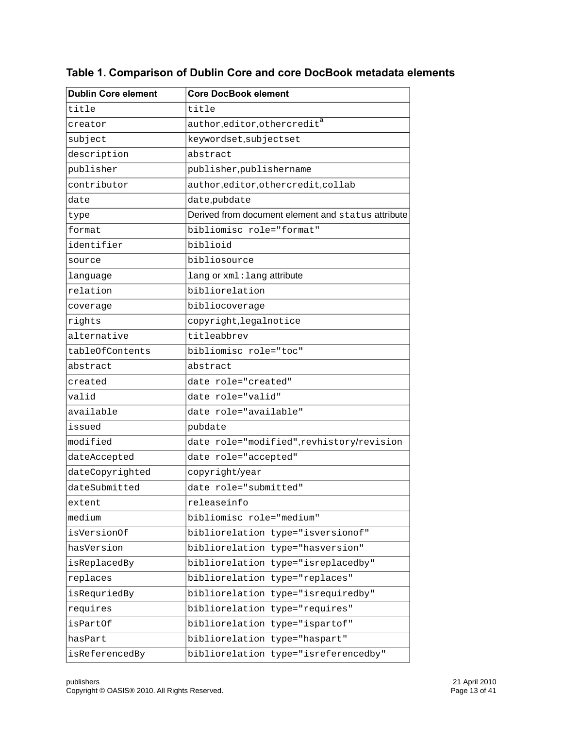| <b>Dublin Core element</b> | <b>Core DocBook element</b>                        |  |  |  |
|----------------------------|----------------------------------------------------|--|--|--|
| title                      | title                                              |  |  |  |
| creator                    | $\text{author}, \text{editor}, \text{othercred}$   |  |  |  |
| subject                    | keywordset, subjectset                             |  |  |  |
| description                | abstract                                           |  |  |  |
| publisher                  | publisher, publishername                           |  |  |  |
| contributor                | author, editor, other credit, collab               |  |  |  |
| date                       | date, pubdate                                      |  |  |  |
| type                       | Derived from document element and status attribute |  |  |  |
| format                     | bibliomisc role="format"                           |  |  |  |
| identifier                 | biblioid                                           |  |  |  |
| source                     | bibliosource                                       |  |  |  |
| language                   | lang or xml: lang attribute                        |  |  |  |
| relation                   | bibliorelation                                     |  |  |  |
| coverage                   | bibliocoverage                                     |  |  |  |
| rights                     | copyright, legalnotice                             |  |  |  |
| alternative                | titleabbrev                                        |  |  |  |
| tableOfContents            | bibliomisc role="toc"                              |  |  |  |
| abstract                   | abstract                                           |  |  |  |
| created                    | date role="created"                                |  |  |  |
| valid                      | date role="valid"                                  |  |  |  |
| available                  | date role="available"                              |  |  |  |
| issued                     | pubdate                                            |  |  |  |
| modified                   | date role="modified", revhistory/revision          |  |  |  |
| dateAccepted               | date role="accepted"                               |  |  |  |
| dateCopyrighted            | copyright/year                                     |  |  |  |
| dateSubmitted              | date role="submitted"                              |  |  |  |
| extent                     | releaseinfo                                        |  |  |  |
| medium                     | bibliomisc role="medium"                           |  |  |  |
| isVersionOf                | bibliorelation type="isversionof"                  |  |  |  |
| hasVersion                 | bibliorelation type="hasversion"                   |  |  |  |
| isReplacedBy               | bibliorelation type="isreplacedby"                 |  |  |  |
| replaces                   | bibliorelation type="replaces"                     |  |  |  |
| isRequriedBy               | bibliorelation type="isrequiredby"                 |  |  |  |
| requires                   | bibliorelation type="requires"                     |  |  |  |
| isPartOf                   | bibliorelation type="ispartof"                     |  |  |  |
| hasPart                    | bibliorelation type="haspart"                      |  |  |  |
| isReferencedBy             | bibliorelation type="isreferencedby"               |  |  |  |

## **Table 1. Comparison of Dublin Core and core DocBook metadata elements**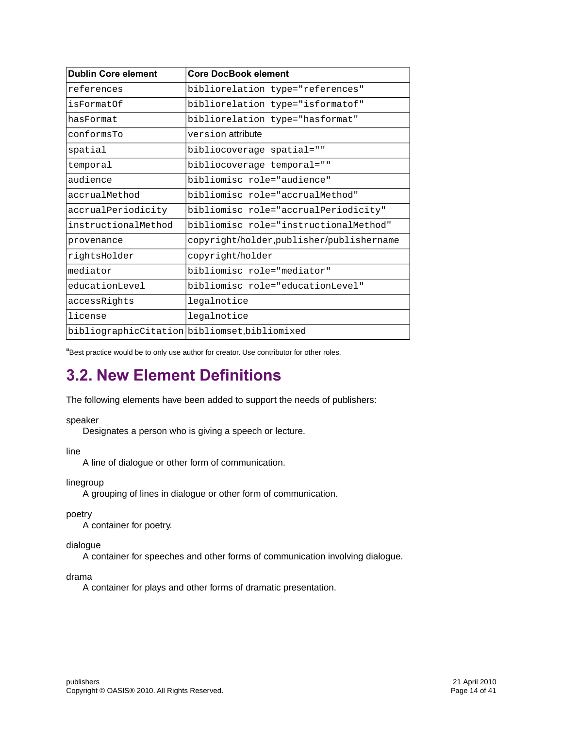| <b>Dublin Core element</b> | <b>Core DocBook element</b>                   |
|----------------------------|-----------------------------------------------|
| references                 | bibliorelation type="references"              |
| isFormatOf                 | bibliorelation type="isformatof"              |
| hasFormat                  | bibliorelation type="hasformat"               |
| conformsTo                 | version attribute                             |
| spatial                    | bibliocoverage spatial=""                     |
| temporal                   | bibliocoverage temporal=""                    |
| audience                   | bibliomisc role="audience"                    |
| accrualMethod              | bibliomisc role="accrualMethod"               |
| accrualPeriodicity         | bibliomisc role="accrualPeriodicity"          |
| instructionalMethod        | bibliomisc role="instructionalMethod"         |
| provenance                 | copyright/holder,publisher/publishername      |
| rightsHolder               | copyright/holder                              |
| mediator                   | bibliomisc role="mediator"                    |
| educationLevel             | bibliomisc role="educationLevel"              |
| accessRights               | legalnotice                                   |
| license                    | legalnotice                                   |
|                            | bibliographicCitation bibliomset, bibliomixed |

<span id="page-13-0"></span><sup>a</sup>Best practice would be to only use author for creator. Use contributor for other roles.

# **3.2. New Element Definitions**

The following elements have been added to support the needs of publishers:

#### speaker

Designates a person who is giving a speech or lecture.

line

A line of dialogue or other form of communication.

linegroup

A grouping of lines in dialogue or other form of communication.

poetry

A container for poetry.

dialogue

A container for speeches and other forms of communication involving dialogue.

drama

A container for plays and other forms of dramatic presentation.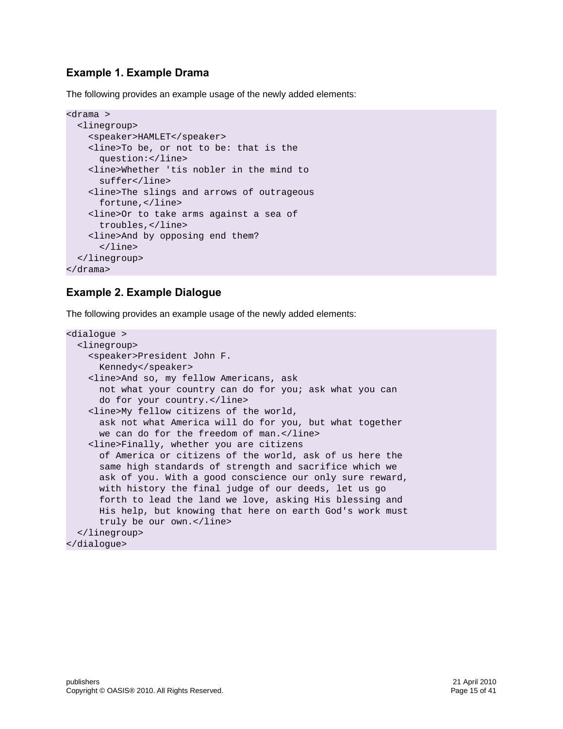### **Example 1. Example Drama**

The following provides an example usage of the newly added elements:

```
<drama >
   <linegroup>
     <speaker>HAMLET</speaker>
     <line>To be, or not to be: that is the 
       question:</line>
     <line>Whether 'tis nobler in the mind to 
       suffer</line>
     <line>The slings and arrows of outrageous 
       fortune,</line>
     <line>Or to take arms against a sea of 
       troubles,</line>
     <line>And by opposing end them?
       </line>
   </linegroup>
</drama>
```
### **Example 2. Example Dialogue**

The following provides an example usage of the newly added elements:

```
<dialogue >
  <linegroup>
     <speaker>President John F. 
       Kennedy</speaker>
     <line>And so, my fellow Americans, ask 
       not what your country can do for you; ask what you can 
       do for your country.</line>
     <line>My fellow citizens of the world, 
       ask not what America will do for you, but what together 
      we can do for the freedom of man.</line>
     <line>Finally, whether you are citizens 
       of America or citizens of the world, ask of us here the 
       same high standards of strength and sacrifice which we 
       ask of you. With a good conscience our only sure reward, 
       with history the final judge of our deeds, let us go 
       forth to lead the land we love, asking His blessing and 
       His help, but knowing that here on earth God's work must 
      truly be our own.</line>
  </linegroup>
</dialogue>
```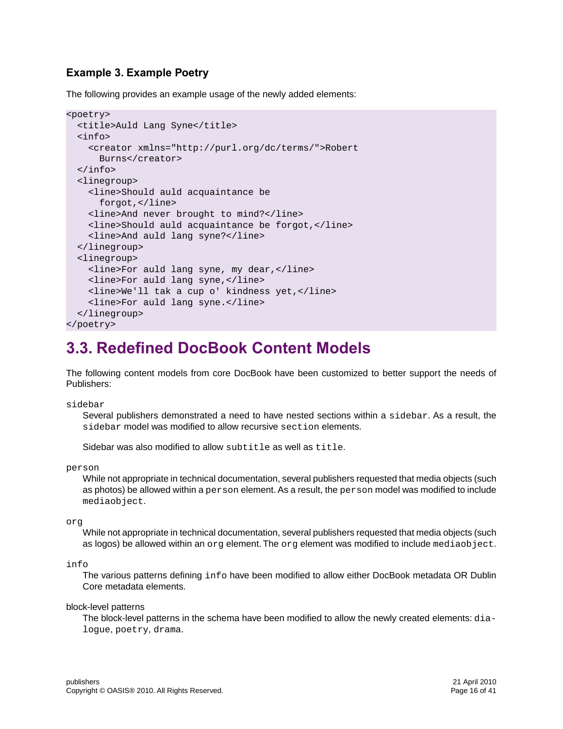### **Example 3. Example Poetry**

The following provides an example usage of the newly added elements:

```
<poetry>
  <title>Auld Lang Syne</title>
   <info>
     <creator xmlns="http://purl.org/dc/terms/">Robert 
       Burns</creator>
   </info>
   <linegroup>
     <line>Should auld acquaintance be 
       forgot,</line>
     <line>And never brought to mind?</line>
     <line>Should auld acquaintance be forgot,</line>
     <line>And auld lang syne?</line>
   </linegroup> 
   <linegroup>
     <line>For auld lang syne, my dear,</line>
     <line>For auld lang syne,</line>
     <line>We'll tak a cup o' kindness yet,</line>
     <line>For auld lang syne.</line>
   </linegroup>
</poetry>
```
## <span id="page-15-0"></span>**3.3. Redefined DocBook Content Models**

The following content models from core DocBook have been customized to better support the needs of Publishers:

sidebar

Several publishers demonstrated a need to have nested sections within a sidebar. As a result, the sidebar model was modified to allow recursive section elements.

Sidebar was also modified to allow subtitle as well as title.

person

While not appropriate in technical documentation, several publishers requested that media objects (such as photos) be allowed within a person element. As a result, the person model was modified to include mediaobject.

org

While not appropriate in technical documentation, several publishers requested that media objects (such as logos) be allowed within an  $\text{org}$  element. The  $\text{org}$  element was modified to include mediaobject.

info

The various patterns defining info have been modified to allow either DocBook metadata OR Dublin Core metadata elements.

block-level patterns

The block-level patterns in the schema have been modified to allow the newly created elements: dialogue, poetry, drama.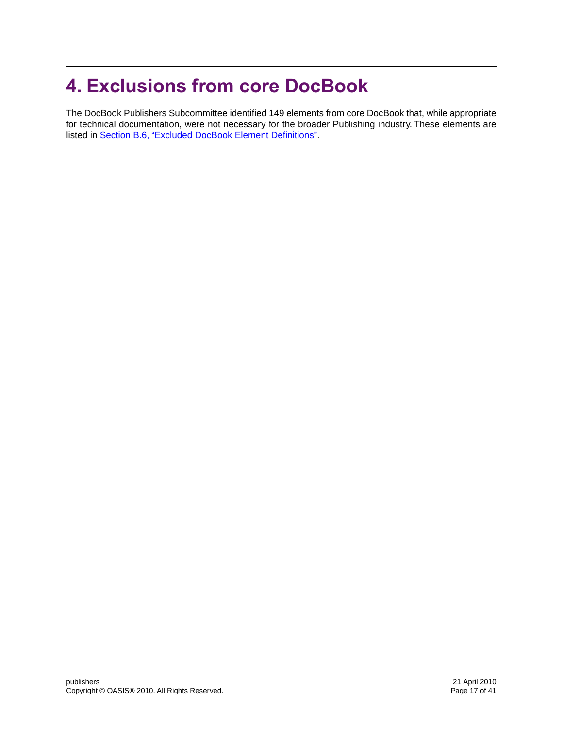# <span id="page-16-0"></span>**4. Exclusions from core DocBook**

The DocBook Publishers Subcommittee identified 149 elements from core DocBook that, while appropriate for technical documentation, were not necessary for the broader Publishing industry. These elements are listed in [Section B.6, "Excluded DocBook Element Definitions".](#page-32-0)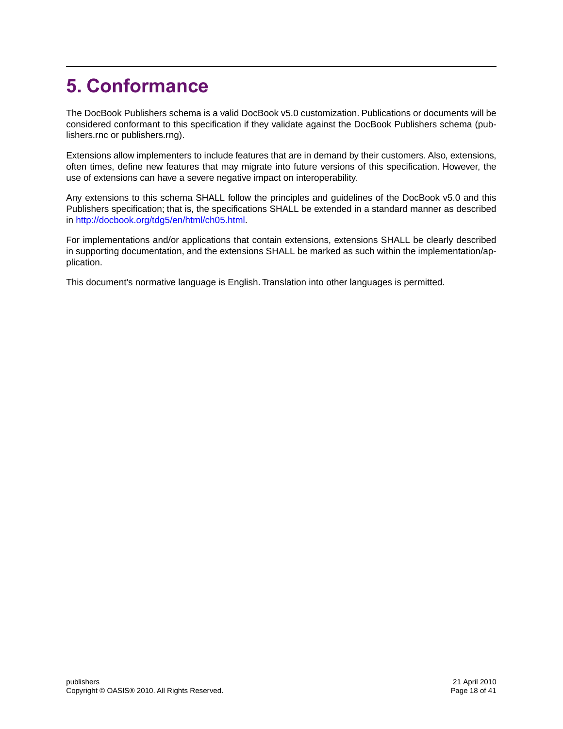# <span id="page-17-0"></span>**5. Conformance**

The DocBook Publishers schema is a valid DocBook v5.0 customization. Publications or documents will be considered conformant to this specification if they validate against the DocBook Publishers schema (publishers.rnc or publishers.rng).

Extensions allow implementers to include features that are in demand by their customers. Also, extensions, often times, define new features that may migrate into future versions of this specification. However, the use of extensions can have a severe negative impact on interoperability.

Any extensions to this schema SHALL follow the principles and guidelines of the DocBook v5.0 and this Publishers specification; that is, the specifications SHALL be extended in a standard manner as described in <http://docbook.org/tdg5/en/html/ch05.html>.

For implementations and/or applications that contain extensions, extensions SHALL be clearly described in supporting documentation, and the extensions SHALL be marked as such within the implementation/application.

This document's normative language is English. Translation into other languages is permitted.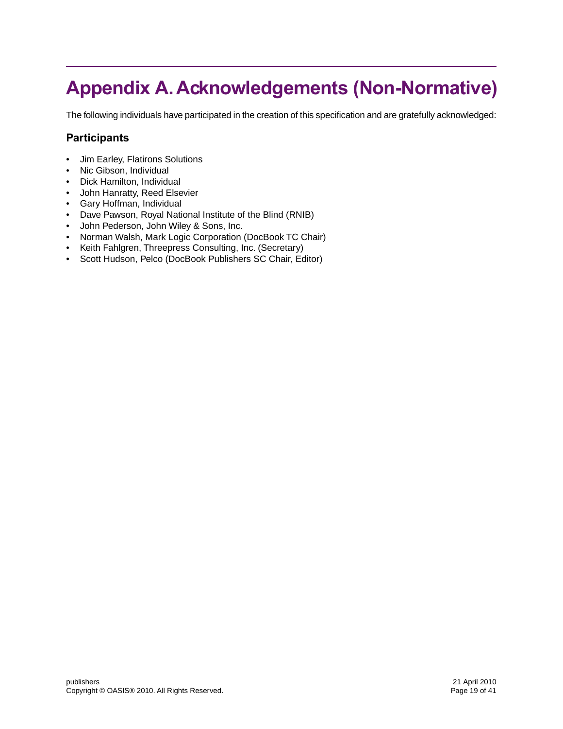# <span id="page-18-0"></span>**Appendix A. Acknowledgements (Non-Normative)**

The following individuals have participated in the creation of this specification and are gratefully acknowledged:

### **Participants**

- Jim Earley, Flatirons Solutions
- Nic Gibson, Individual
- Dick Hamilton, Individual
- John Hanratty, Reed Elsevier
- Gary Hoffman, Individual
- Dave Pawson, Royal National Institute of the Blind (RNIB)
- John Pederson, John Wiley & Sons, Inc.
- Norman Walsh, Mark Logic Corporation (DocBook TC Chair)
- Keith Fahlgren, Threepress Consulting, Inc. (Secretary)
- Scott Hudson, Pelco (DocBook Publishers SC Chair, Editor)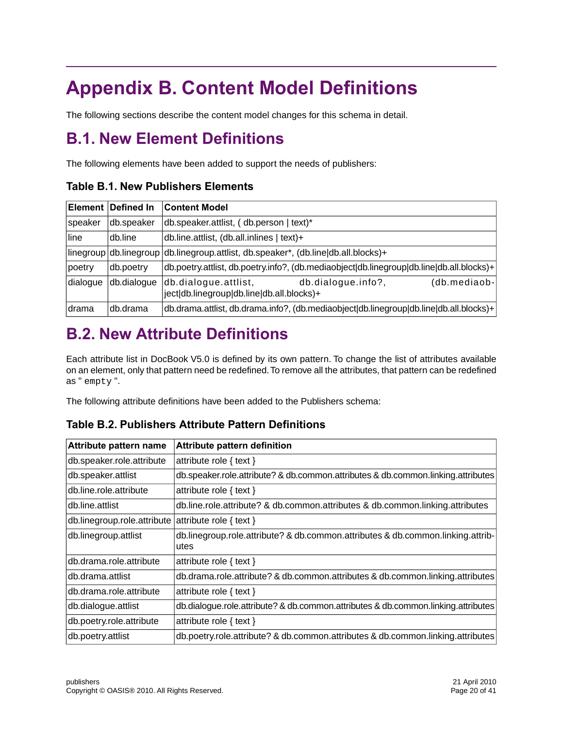# <span id="page-19-0"></span>**Appendix B. Content Model Definitions**

<span id="page-19-1"></span>The following sections describe the content model changes for this schema in detail.

# **B.1. New Element Definitions**

The following elements have been added to support the needs of publishers:

### **Table B.1. New Publishers Elements**

|          | Element Defined In | <b>Content Model</b>                                                                                     |  |  |
|----------|--------------------|----------------------------------------------------------------------------------------------------------|--|--|
| speaker  | db.speaker         | db.speaker.attlist, (db.person   text)*                                                                  |  |  |
| line     | db.line            | db.line.attlist, (db.all.inlines   text)+                                                                |  |  |
|          |                    | linegroup db.linegroup db.linegroup.attlist, db.speaker*, (db.line db.all.blocks)+                       |  |  |
| poetry   | db.poetry          | db.poetry.attlist, db.poetry.info?, (db.mediaobject db.linegroup db.line db.all.blocks)+                 |  |  |
| dialogue | db.dialogue        | db.dialogue.attlist,<br>db.dialogue.info?,<br>(db.mediaob- <br>ject db.linegroup db.line db.all.blocks)+ |  |  |
| drama    | db.drama           | db.drama.attlist, db.drama.info?, (db.mediaobject db.linegroup db.line db.all.blocks)+                   |  |  |

# <span id="page-19-2"></span>**B.2. New Attribute Definitions**

Each attribute list in DocBook V5.0 is defined by its own pattern. To change the list of attributes available on an element, only that pattern need be redefined.To remove all the attributes, that pattern can be redefined as " empty ".

The following attribute definitions have been added to the Publishers schema:

### **Table B.2. Publishers Attribute Pattern Definitions**

| Attribute pattern name      | <b>Attribute pattern definition</b>                                                     |
|-----------------------------|-----------------------------------------------------------------------------------------|
| db.speaker.role.attribute   | attribute role $\{ text\}$                                                              |
| db.speaker.attlist          | db.speaker.role.attribute? & db.common.attributes & db.common.linking.attributes        |
| db.line.role.attribute      | attribute role $\{ text\}$                                                              |
| db.line.attlist             | db.line.role.attribute? & db.common.attributes & db.common.linking.attributes           |
| db.linegroup.role.attribute | attribute role { text }                                                                 |
| db.linegroup.attlist        | db.linegroup.role.attribute? & db.common.attributes & db.common.linking.attrib-<br>utes |
| db.drama.role.attribute     | attribute role { text }                                                                 |
| db.drama.attlist            | db.drama.role.attribute? & db.common.attributes & db.common.linking.attributes          |
| db.drama.role.attribute     | attribute role $\{ text\}$                                                              |
| db.dialogue.attlist         | db.dialogue.role.attribute? & db.common.attributes & db.common.linking.attributes       |
| db.poetry.role.attribute    | attribute role $\{ text\}$                                                              |
| db.poetry.attlist           | db.poetry.role.attribute? & db.common.attributes & db.common.linking.attributes         |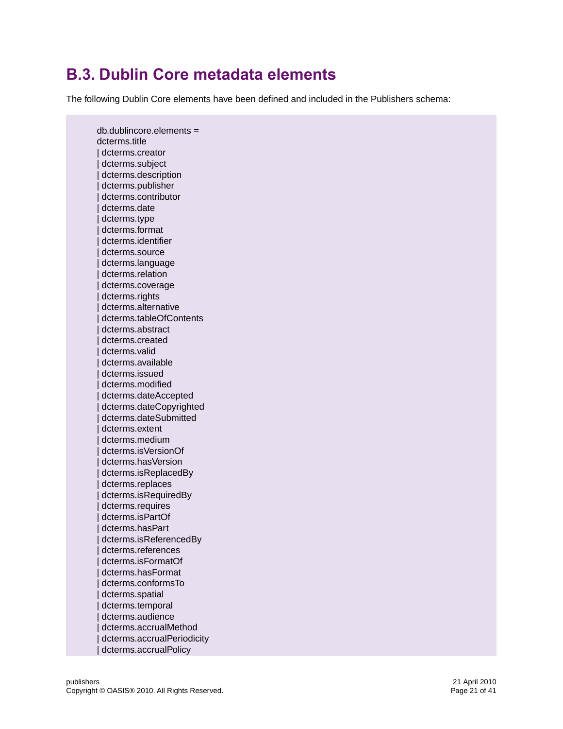# <span id="page-20-0"></span>**B.3. Dublin Core metadata elements**

The following Dublin Core elements have been defined and included in the Publishers schema:

 db.dublincore.elements = dcterms.title | dcterms.creator | dcterms.subject dcterms.description | dcterms.publisher | dcterms.contributor dcterms.date dcterms.type | dcterms.format | dcterms.identifier dcterms.source | dcterms.language | dcterms.relation dcterms.coverage dcterms.rights | dcterms.alternative | dcterms.tableOfContents dcterms.abstract dcterms.created | dcterms.valid | dcterms.available dcterms.issued | dcterms.modified | dcterms.dateAccepted dcterms.dateCopyrighted | dcterms.dateSubmitted dcterms.extent dcterms.medium | dcterms.isVersionOf | dcterms.hasVersion | dcterms.isReplacedBy | dcterms.replaces dcterms.isRequiredBy dcterms.requires | dcterms.isPartOf dcterms.hasPart dcterms.isReferencedBy | dcterms.references | dcterms.isFormatOf dcterms.hasFormat | dcterms.conformsTo | dcterms.spatial dcterms.temporal dcterms.audience dcterms.accrualMethod | dcterms.accrualPeriodicity | dcterms.accrualPolicy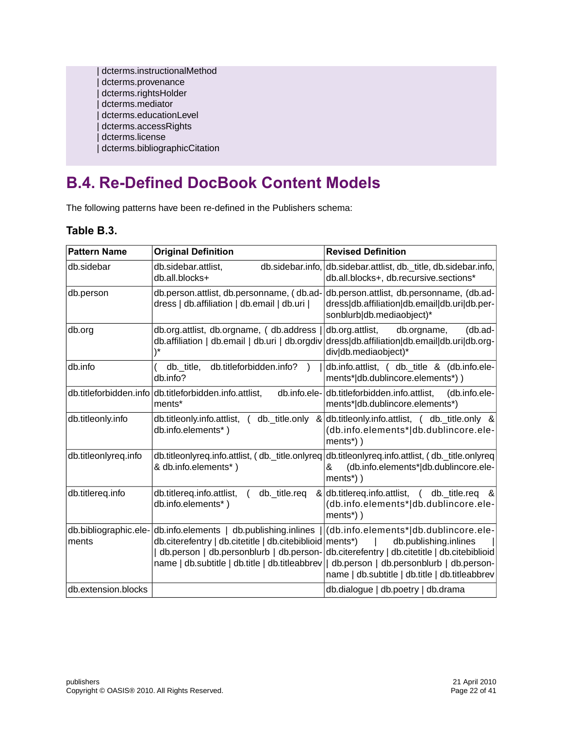| dcterms.instructionalMethod   |
|-------------------------------|
| dcterms.provenance            |
| dcterms.rightsHolder          |
| dcterms.mediator              |
| dcterms.educationLevel        |
| dcterms.accessRights          |
| dcterms.license               |
| dcterms.bibliographicCitation |

# <span id="page-21-0"></span>**B.4. Re-Defined DocBook Content Models**

The following patterns have been re-defined in the Publishers schema:

### **Table B.3.**

| <b>Pattern Name</b>  | <b>Original Definition</b>                                                                                                                                                                    | <b>Revised Definition</b>                                                                                                                                                                                                                                 |
|----------------------|-----------------------------------------------------------------------------------------------------------------------------------------------------------------------------------------------|-----------------------------------------------------------------------------------------------------------------------------------------------------------------------------------------------------------------------------------------------------------|
| db.sidebar           | db.sidebar.attlist,<br>db.all.blocks+                                                                                                                                                         | db.sidebar.info, db.sidebar.attlist, db. _title, db.sidebar.info,<br>db.all.blocks+, db.recursive.sections*                                                                                                                                               |
| db.person            | db.person.attlist, db.personname, (db.ad-<br>dress   db.affiliation   db.email   db.uri                                                                                                       | db.person.attlist, db.personname, (db.ad-<br>dress db.affiliation db.email db.uri db.per-<br>sonblurb db.mediaobject)*                                                                                                                                    |
| db.org               | db.org.attlist, db.orgname, (db.address<br>db.affiliation   db.email   db.uri   db.orgdiv                                                                                                     | db.org.attlist,<br>(db.ad-<br>db.orgname,<br>dress db.affiliation db.email db.uri db.org-<br>div db.mediaobject)*                                                                                                                                         |
| db.info              | db.titleforbidden.info?<br>db. title,<br>db.info?                                                                                                                                             | db.info.attlist, ( db._title & (db.info.ele-<br>ments* db.dublincore.elements*))                                                                                                                                                                          |
|                      | db.titleforbidden.info db.titleforbidden.info.attlist,<br>ments*                                                                                                                              | db.info.ele-db.titleforbidden.info.attlist,<br>(db.info.ele-<br>ments* db.dublincore.elements*)                                                                                                                                                           |
| db.titleonly.info    | db.info.elements*)                                                                                                                                                                            | db.titleonly.info.attlist, ( db._title.only & db.titleonly.info.attlist, ( db._title.only &<br>(db.info.elements* db.dublincore.ele-<br>ments <sup>*</sup> ) )                                                                                            |
| db.titleonlyreq.info | & db.info.elements*)                                                                                                                                                                          | db.titleonlyreq.info.attlist, (db._title.onlyreq db.titleonlyreq.info.attlist, (db._title.onlyreq<br>(db.info.elements* db.dublincore.ele-<br>&<br>ments <sup>*</sup> ) )                                                                                 |
| db.titlereg.info     | db.titlereq.info.attlist,<br>db._title.req<br>db.info.elements*)                                                                                                                              | & db.titlereq.info.attlist, ( db. title.req<br>_& <br>(db.info.elements* db.dublincore.ele-<br>ments <sup>*</sup> ) )                                                                                                                                     |
| ments                | db.bibliographic.ele- db.info.elements   db.publishing.inlines<br>$db. citerefentry \mid db. citetitle \mid db. citebiblioid \mid ments^*)$<br>name   db.subtitle   db.title   db.titleabbrev | (db.info.elements* db.dublincore.ele-<br>db.publishing.inlines<br>  db.person   db.personblurb   db.person- db.citerefentry   db.citetitle   db.citebiblioid<br>db.person   db.personblurb   db.person-<br>name   db.subtitle   db.title   db.titleabbrev |
| db.extension.blocks  |                                                                                                                                                                                               | db.dialogue   db.poetry   db.drama                                                                                                                                                                                                                        |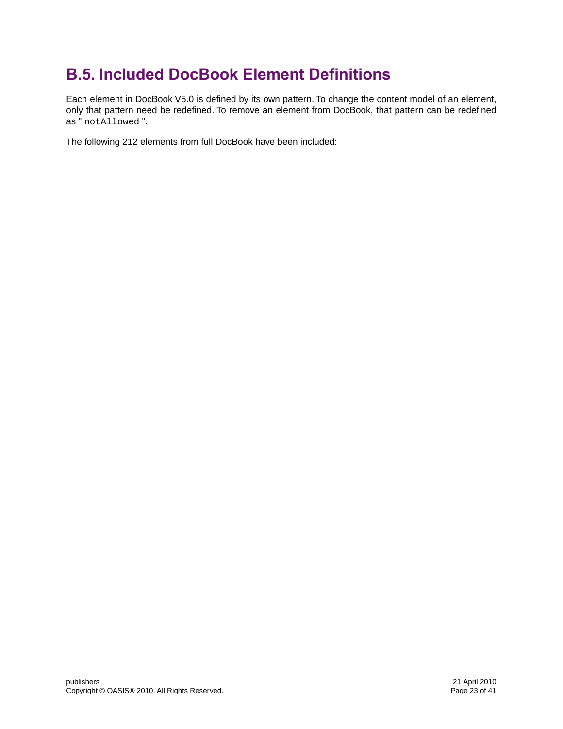# <span id="page-22-0"></span>**B.5. Included DocBook Element Definitions**

Each element in DocBook V5.0 is defined by its own pattern. To change the content model of an element, only that pattern need be redefined. To remove an element from DocBook, that pattern can be redefined as " notAllowed ".

The following 212 elements from full DocBook have been included: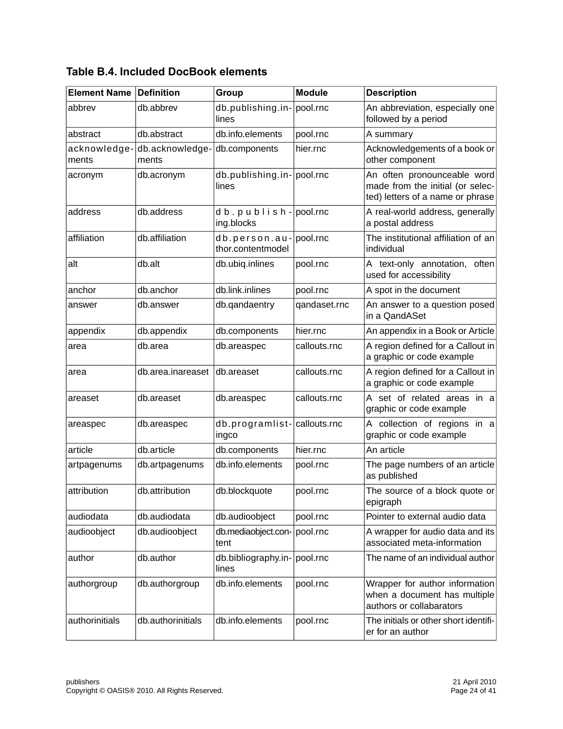| <b>Element Name</b>   | <b>Definition</b>        | <b>Group</b>                         | <b>Module</b> | <b>Description</b>                                                                                  |
|-----------------------|--------------------------|--------------------------------------|---------------|-----------------------------------------------------------------------------------------------------|
| abbrev                | db.abbrev                | db.publishing.in-<br>lines           | pool.rnc      | An abbreviation, especially one<br>followed by a period                                             |
| abstract              | db.abstract              | db.info.elements                     | pool.rnc      | A summary                                                                                           |
| acknowledge-<br>ments | db.acknowledge-<br>ments | db.components                        | hier.rnc      | Acknowledgements of a book or<br>other component                                                    |
| acronym               | db.acronym               | db.publishing.in-pool.rnc<br>lines   |               | An often pronounceable word<br>made from the initial (or selec-<br>ted) letters of a name or phrase |
| address               | db.address               | db.publish-<br>ing.blocks            | pool.rnc      | A real-world address, generally<br>a postal address                                                 |
| affiliation           | db.affiliation           | db.person.au-<br>thor.contentmodel   | pool.rnc      | The institutional affiliation of an<br>individual                                                   |
| alt                   | db.alt                   | db.ubiq.inlines                      | pool.rnc      | A text-only annotation, often<br>used for accessibility                                             |
| anchor                | db.anchor                | db.link.inlines                      | pool.rnc      | A spot in the document                                                                              |
| answer                | db.answer                | db.qandaentry                        | qandaset.rnc  | An answer to a question posed<br>in a QandASet                                                      |
| appendix              | db.appendix              | db.components                        | hier.rnc      | An appendix in a Book or Article                                                                    |
| area                  | db.area                  | db.areaspec                          | callouts.rnc  | A region defined for a Callout in<br>a graphic or code example                                      |
| area                  | db.area.inareaset        | db.areaset                           | callouts.rnc  | A region defined for a Callout in<br>a graphic or code example                                      |
| areaset               | db.areaset               | db.areaspec                          | callouts.rnc  | A set of related areas in a<br>graphic or code example                                              |
| areaspec              | db.areaspec              | db.programlist-callouts.rnc<br>ingco |               | A collection of regions in a<br>graphic or code example                                             |
| article               | db.article               | db.components                        | hier.rnc      | An article                                                                                          |
| artpagenums           | db.artpagenums           | db.info.elements                     | pool.rnc      | The page numbers of an article<br>as published                                                      |
| attribution           | db.attribution           | db.blockquote                        | pool.rnc      | The source of a block quote or<br>epigraph                                                          |
| audiodata             | db.audiodata             | db.audioobject                       | pool.rnc      | Pointer to external audio data                                                                      |
| audioobject           | db.audioobject           | db.mediaobject.con-<br>tent          | pool.rnc      | A wrapper for audio data and its<br>associated meta-information                                     |
| author                | db.author                | db.bibliography.in-<br>lines         | pool.rnc      | The name of an individual author                                                                    |
| authorgroup           | db.authorgroup           | db.info.elements                     | pool.rnc      | Wrapper for author information<br>when a document has multiple<br>authors or collabarators          |
| authorinitials        | db.authorinitials        | db.info.elements                     | pool.rnc      | The initials or other short identifi-<br>er for an author                                           |

### **Table B.4. Included DocBook elements**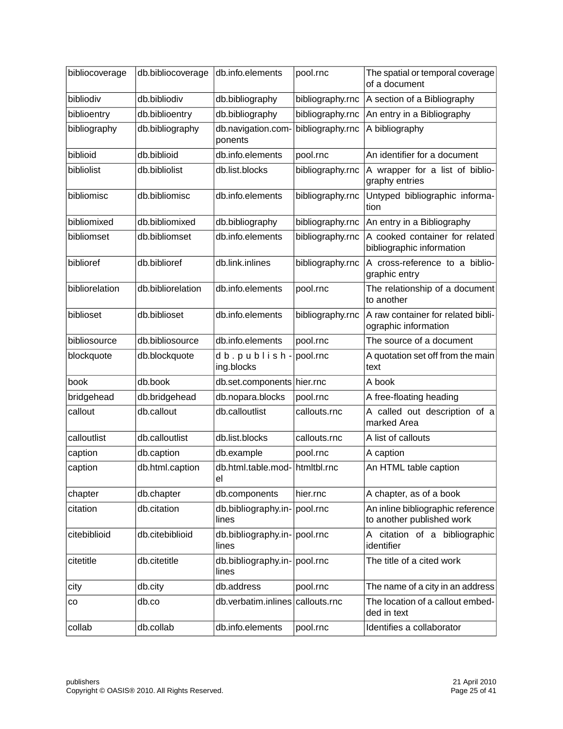| bibliocoverage | db.bibliocoverage | db.info.elements                        | pool.rnc         | The spatial or temporal coverage<br>of a document              |
|----------------|-------------------|-----------------------------------------|------------------|----------------------------------------------------------------|
| bibliodiv      | db.bibliodiv      | db.bibliography                         | bibliography.rnc | A section of a Bibliography                                    |
| biblioentry    | db.biblioentry    | db.bibliography                         | bibliography.rnc | An entry in a Bibliography                                     |
| bibliography   | db.bibliography   | db.navigation.com-<br>ponents           | bibliography.rnc | A bibliography                                                 |
| biblioid       | db.biblioid       | db.info.elements                        | pool.rnc         | An identifier for a document                                   |
| bibliolist     | db.bibliolist     | db.list.blocks                          | bibliography.rnc | A wrapper for a list of biblio-<br>graphy entries              |
| bibliomisc     | db.bibliomisc     | db.info.elements                        | bibliography.rnc | Untyped bibliographic informa-<br>tion                         |
| bibliomixed    | db.bibliomixed    | db.bibliography                         | bibliography.rnc | An entry in a Bibliography                                     |
| bibliomset     | db.bibliomset     | db.info.elements                        | bibliography.rnc | A cooked container for related<br>bibliographic information    |
| biblioref      | db.biblioref      | db.link.inlines                         | bibliography.rnc | A cross-reference to a biblio-<br>graphic entry                |
| bibliorelation | db.bibliorelation | db.info.elements                        | pool.rnc         | The relationship of a document<br>to another                   |
| biblioset      | db.biblioset      | db.info.elements                        | bibliography.rnc | A raw container for related bibli-<br>ographic information     |
| bibliosource   | db.bibliosource   | db.info.elements                        | pool.rnc         | The source of a document                                       |
| blockquote     | db.blockquote     | db.publish-<br>ing.blocks               | pool.rnc         | A quotation set off from the main<br>text                      |
| book           | db.book           | db.set.components hier.rnc              |                  | A book                                                         |
| bridgehead     | db.bridgehead     | db.nopara.blocks                        | pool.rnc         | A free-floating heading                                        |
| callout        | db.callout        | db.calloutlist                          | callouts.rnc     | A called out description of a<br>marked Area                   |
| calloutlist    | db.calloutlist    | db.list.blocks                          | callouts.rnc     | A list of callouts                                             |
| caption        | db.caption        | db.example                              | pool.rnc         | A caption                                                      |
| caption        | db.html.caption   | db.html.table.mod- htmltbl.rnc<br>el    |                  | An HTML table caption                                          |
| chapter        | db.chapter        | db.components                           | hier.rnc         | A chapter, as of a book                                        |
| citation       | db.citation       | db.bibliography.in-<br>lines            | pool.rnc         | An inline bibliographic reference<br>to another published work |
| citebiblioid   | db.citebiblioid   | db.bibliography.in-   pool.rnc<br>lines |                  | A citation of a bibliographic<br>identifier                    |
| citetitle      | db.citetitle      | db.bibliography.in- pool.rnc<br>lines   |                  | The title of a cited work                                      |
| city           | db.city           | db.address                              | pool.rnc         | The name of a city in an address                               |
| $_{\rm CO}$    | db.co             | db.verbatim.inlines                     | callouts.rnc     | The location of a callout embed-<br>ded in text                |
| collab         | db.collab         | db.info.elements                        | pool.rnc         | Identifies a collaborator                                      |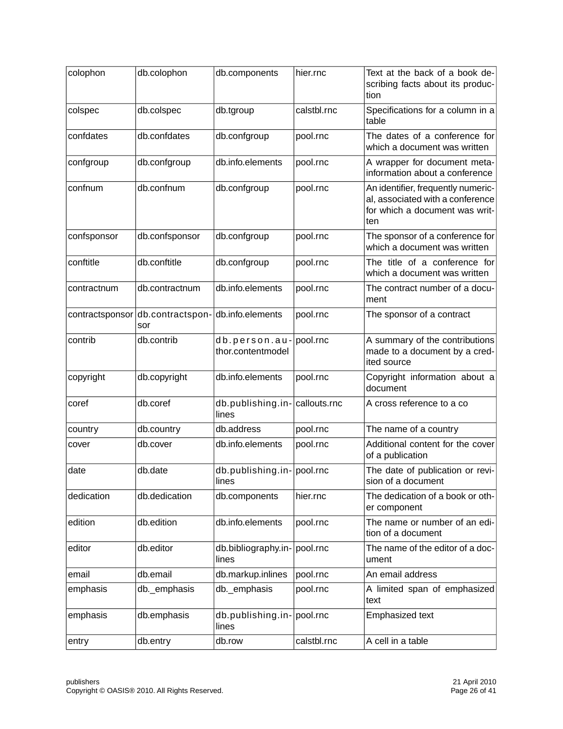| colophon    | db.colophon                             | db.components                          | hier.rnc    | Text at the back of a book de-<br>scribing facts about its produc-<br>tion                                      |
|-------------|-----------------------------------------|----------------------------------------|-------------|-----------------------------------------------------------------------------------------------------------------|
| colspec     | db.colspec                              | db.tgroup                              | calstbl.rnc | Specifications for a column in a<br>table                                                                       |
| confdates   | db.confdates                            | db.confgroup                           | pool.rnc    | The dates of a conference for<br>which a document was written                                                   |
| confgroup   | db.confgroup                            | db.info.elements                       | pool.rnc    | A wrapper for document meta-<br>information about a conference                                                  |
| confnum     | db.confnum                              | db.confgroup                           | pool.rnc    | An identifier, frequently numeric-<br>al, associated with a conference<br>for which a document was writ-<br>ten |
| confsponsor | db.confsponsor                          | db.confgroup                           | pool.rnc    | The sponsor of a conference for<br>which a document was written                                                 |
| conftitle   | db.conftitle                            | db.confgroup                           | pool.rnc    | The title of a conference for<br>which a document was written                                                   |
| contractnum | db.contractnum                          | db.info.elements                       | pool.rnc    | The contract number of a docu-<br>ment                                                                          |
|             | contractsponsor db.contractspon-<br>sor | db.info.elements                       | pool.rnc    | The sponsor of a contract                                                                                       |
| contrib     | db.contrib                              | db.person.au-<br>thor.contentmodel     | pool.rnc    | A summary of the contributions<br>made to a document by a cred-<br>ited source                                  |
| copyright   | db.copyright                            | db.info.elements                       | pool.rnc    | Copyright information about a<br>document                                                                       |
| coref       | db.coref                                | db.publishing.in-callouts.rnc<br>lines |             | A cross reference to a co                                                                                       |
| country     | db.country                              | db.address                             | pool.rnc    | The name of a country                                                                                           |
| cover       | db.cover                                | db.info.elements                       | pool.rnc    | Additional content for the cover<br>of a publication                                                            |
| date        | db.date                                 | db.publishing.in- pool.rnc<br>lines    |             | The date of publication or revi-<br>sion of a document                                                          |
| dedication  | db.dedication                           | db.components                          | hier.rnc    | The dedication of a book or oth-<br>er component                                                                |
| edition     | db.edition                              | db.info.elements                       | pool.rnc    | The name or number of an edi-<br>tion of a document                                                             |
| editor      | db.editor                               | db.bibliography.in- pool.rnc<br>lines  |             | The name of the editor of a doc-<br>ument                                                                       |
| email       | db.email                                | db.markup.inlines                      | pool.rnc    | An email address                                                                                                |
| emphasis    | db._emphasis                            | db. emphasis                           | pool.rnc    | A limited span of emphasized<br>text                                                                            |
| emphasis    | db.emphasis                             | db.publishing.in- pool.rnc<br>lines    |             | <b>Emphasized text</b>                                                                                          |
| entry       | db.entry                                | db.row                                 | calstbl.rnc | A cell in a table                                                                                               |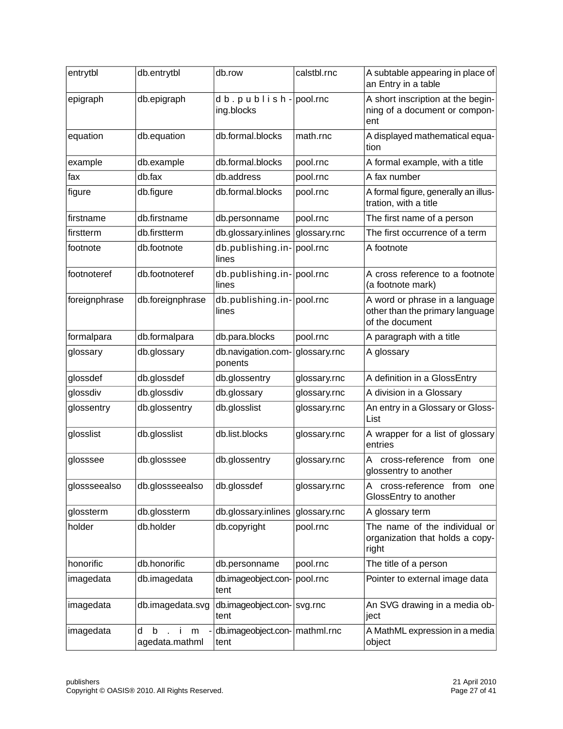| entrytbl      | db.entrytbl                   | db.row                                        | calstbl.rnc  | A subtable appearing in place of<br>an Entry in a table                              |
|---------------|-------------------------------|-----------------------------------------------|--------------|--------------------------------------------------------------------------------------|
| epigraph      | db.epigraph                   | $d b. p u b l i s h -$ pool.rnc<br>ing.blocks |              | A short inscription at the begin-<br>ning of a document or compon-<br>ent            |
| equation      | db.equation                   | db.formal.blocks                              | math.rnc     | A displayed mathematical equa-<br>tion                                               |
| example       | db.example                    | db.formal.blocks                              | pool.rnc     | A formal example, with a title                                                       |
| fax           | db.fax                        | db.address                                    | pool.rnc     | A fax number                                                                         |
| figure        | db.figure                     | db.formal.blocks                              | pool.rnc     | A formal figure, generally an illus-<br>tration, with a title                        |
| firstname     | db.firstname                  | db.personname                                 | pool.rnc     | The first name of a person                                                           |
| firstterm     | db.firstterm                  | db.glossary.inlines                           | glossary.rnc | The first occurrence of a term                                                       |
| footnote      | db.footnote                   | db.publishing.in-pool.rnc<br>lines            |              | A footnote                                                                           |
| footnoteref   | db.footnoteref                | db.publishing.in-pool.rnc<br>lines            |              | A cross reference to a footnote<br>(a footnote mark)                                 |
| foreignphrase | db.foreignphrase              | db.publishing.in-pool.rnc<br>lines            |              | A word or phrase in a language<br>other than the primary language<br>of the document |
| formalpara    | db.formalpara                 | db.para.blocks                                | pool.rnc     | A paragraph with a title                                                             |
| glossary      | db.glossary                   | db.navigation.com-<br>ponents                 | glossary.rnc | A glossary                                                                           |
| glossdef      | db.glossdef                   | db.glossentry                                 | glossary.rnc | A definition in a GlossEntry                                                         |
| glossdiv      | db.glossdiv                   | db.glossary                                   | glossary.rnc | A division in a Glossary                                                             |
| glossentry    | db.glossentry                 | db.glosslist                                  | glossary.rnc | An entry in a Glossary or Gloss-<br>List                                             |
| glosslist     | db.glosslist                  | db.list.blocks                                | glossary.rnc | A wrapper for a list of glossary<br>entries                                          |
| glosssee      | db.glosssee                   | db.glossentry                                 | glossary.rnc | cross-reference from<br>one<br>glossentry to another                                 |
| glossseealso  | db.glossseealso               | db.glossdef                                   | glossary.rnc | cross-reference from<br>Α<br>one<br>GlossEntry to another                            |
| glossterm     | db.glossterm                  | db.glossary.inlines                           | glossary.rnc | A glossary term                                                                      |
| holder        | db.holder                     | db.copyright                                  | pool.rnc     | The name of the individual or<br>organization that holds a copy-<br>right            |
| honorific     | db.honorific                  | db.personname                                 | pool.rnc     | The title of a person                                                                |
| imagedata     | db.imagedata                  | db.imageobject.con-   pool.rnc<br>tent        |              | Pointer to external image data                                                       |
| imagedata     | db.imagedata.svg              | db.imageobject.con- svg.rnc<br>tent           |              | An SVG drawing in a media ob-<br>ject                                                |
| imagedata     | d<br>b<br>m<br>agedata.mathml | db.imageobject.con-   mathml.rnc<br>tent      |              | A MathML expression in a media<br>object                                             |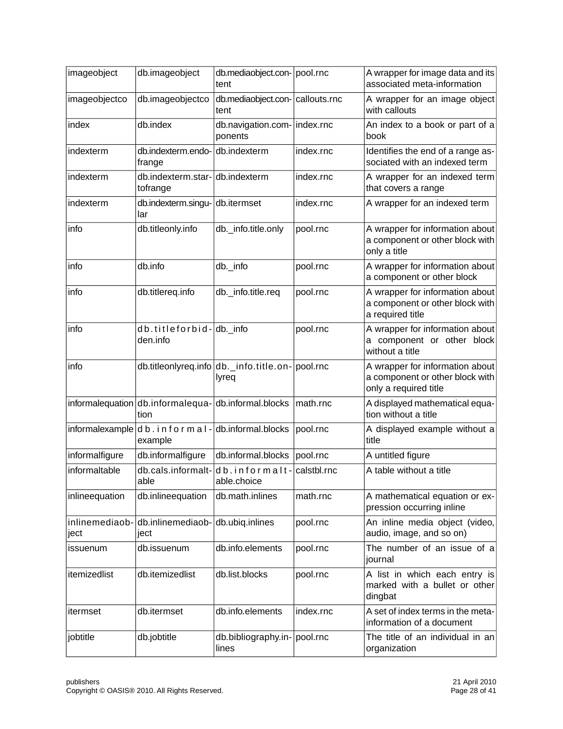| imageobject            | db.imageobject                           | db.mediaobject.con-   pool.rnc<br>tent                    |             | A wrapper for image data and its<br>associated meta-information                             |
|------------------------|------------------------------------------|-----------------------------------------------------------|-------------|---------------------------------------------------------------------------------------------|
| imageobjectco          | db.imageobjectco                         | db.mediaobject.con- callouts.rnc<br>tent                  |             | A wrapper for an image object<br>with callouts                                              |
| index                  | db.index                                 | db.navigation.com-   index.rnc<br>ponents                 |             | An index to a book or part of a<br>book                                                     |
| indexterm              | db.indexterm.endo-<br>frange             | db.indexterm                                              | index.rnc   | Identifies the end of a range as-<br>sociated with an indexed term                          |
| indexterm              | db.indexterm.star-<br>tofrange           | db.indexterm                                              | index.rnc   | A wrapper for an indexed term<br>that covers a range                                        |
| indexterm              | db.indexterm.singu-<br>lar               | db.itermset                                               | index.rnc   | A wrapper for an indexed term                                                               |
| info                   | db.titleonly.info                        | db._info.title.only                                       | pool.rnc    | A wrapper for information about<br>a component or other block with<br>only a title          |
| info                   | db.info                                  | db._info                                                  | pool.rnc    | A wrapper for information about<br>a component or other block                               |
| info                   | db.titlereq.info                         | db._info.title.req                                        | pool.rnc    | A wrapper for information about<br>a component or other block with<br>a required title      |
| info                   | db.titleforbid-db. info<br>den.info      |                                                           | pool.rnc    | A wrapper for information about<br>a component or other block<br>without a title            |
| info                   |                                          | db.titleonlyreq.info db._info.title.on- pool.rnc<br>lyreq |             | A wrapper for information about<br>a component or other block with<br>only a required title |
|                        | tion                                     | informalequation db.informalequa-db.informal.blocks       | math.rnc    | A displayed mathematical equa-<br>tion without a title                                      |
|                        | informalexample db. informal-<br>example | db.informal.blocks                                        | pool.rnc    | A displayed example without a<br>title                                                      |
| informalfigure         | db.informalfigure                        | db.informal.blocks                                        | pool.rnc    | A untitled figure                                                                           |
| informaltable          | db.cals.informalt-<br>able               | db.informalt-<br>able.choice                              | calstbl.rnc | A table without a title                                                                     |
| inlineequation         | db.inlineequation                        | db.math.inlines                                           | math.rnc    | A mathematical equation or ex-<br>pression occurring inline                                 |
| inlinemediaob-<br>ject | db.inlinemediaob-<br>ject                | db.ubiq.inlines                                           | pool.rnc    | An inline media object (video,<br>audio, image, and so on)                                  |
| issuenum               | db.issuenum                              | db.info.elements                                          | pool.rnc    | The number of an issue of a<br>journal                                                      |
| itemizedlist           | db.itemizedlist                          | db.list.blocks                                            | pool.rnc    | A list in which each entry is<br>marked with a bullet or other<br>dingbat                   |
| itermset               | db.itermset                              | db.info.elements                                          | index.rnc   | A set of index terms in the meta-<br>information of a document                              |
| jobtitle               | db.jobtitle                              | db.bibliography.in-   pool.rnc<br>lines                   |             | The title of an individual in an<br>organization                                            |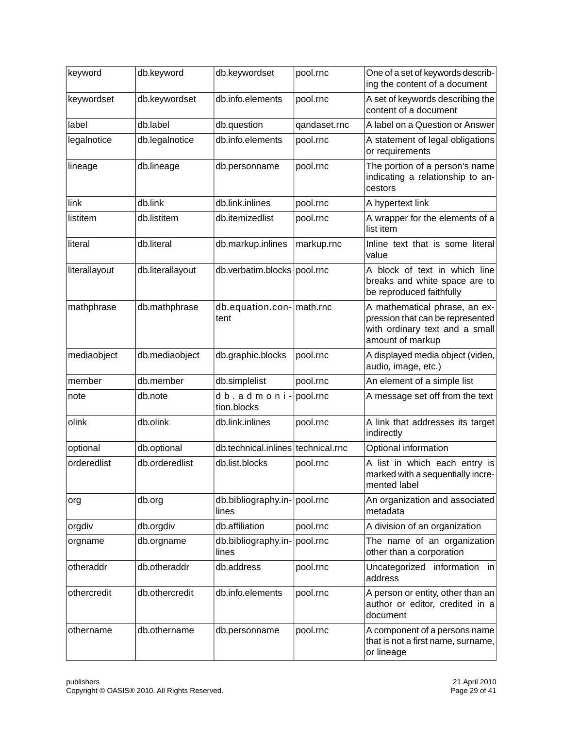| keyword       | db.keyword       | db.keywordset                         | pool.rnc     | One of a set of keywords describ-<br>ing the content of a document                                                      |
|---------------|------------------|---------------------------------------|--------------|-------------------------------------------------------------------------------------------------------------------------|
| keywordset    | db.keywordset    | db.info.elements                      | pool.rnc     | A set of keywords describing the<br>content of a document                                                               |
| label         | db.label         | db.question                           | qandaset.rnc | A label on a Question or Answer                                                                                         |
| legalnotice   | db.legalnotice   | db.info.elements                      | pool.rnc     | A statement of legal obligations<br>or requirements                                                                     |
| lineage       | db.lineage       | db.personname                         | pool.rnc     | The portion of a person's name<br>indicating a relationship to an-<br>cestors                                           |
| link          | db.link          | db.link.inlines                       | pool.rnc     | A hypertext link                                                                                                        |
| listitem      | db.listitem      | db.itemizedlist                       | pool.rnc     | A wrapper for the elements of a<br>list item                                                                            |
| literal       | db.literal       | db.markup.inlines                     | markup.rnc   | Inline text that is some literal<br>value                                                                               |
| literallayout | db.literallayout | db.verbatim.blocks pool.rnc           |              | A block of text in which line<br>breaks and white space are to<br>be reproduced faithfully                              |
| mathphrase    | db.mathphrase    | db.equation.con- math.rnc<br>tent     |              | A mathematical phrase, an ex-<br>pression that can be represented<br>with ordinary text and a small<br>amount of markup |
| mediaobject   | db.mediaobject   | db.graphic.blocks                     | pool.rnc     | A displayed media object (video,<br>audio, image, etc.)                                                                 |
| member        | db.member        | db.simplelist                         | pool.rnc     | An element of a simple list                                                                                             |
| note          | db.note          | db.admoni-<br>tion.blocks             | pool.rnc     | A message set off from the text                                                                                         |
| olink         | db.olink         | db.link.inlines                       | pool.rnc     | A link that addresses its target<br>indirectly                                                                          |
| optional      | db.optional      | db.technical.inlines technical.rnc    |              | Optional information                                                                                                    |
| orderedlist   | db.orderedlist   | db.list.blocks                        | pool.rnc     | A list in which each entry is<br>marked with a sequentially incre-<br>mented label                                      |
| org           | db.org           | db.bibliography.in- pool.rnc<br>lines |              | An organization and associated<br>metadata                                                                              |
| orgdiv        | db.orgdiv        | db.affiliation                        | pool.rnc     | A division of an organization                                                                                           |
| orgname       | db.orgname       | db.bibliography.in-<br>lines          | pool.rnc     | The name of an organization<br>other than a corporation                                                                 |
| otheraddr     | db.otheraddr     | db.address                            | pool.rnc     | Uncategorized information in<br>address                                                                                 |
| othercredit   | db.othercredit   | db.info.elements                      | pool.rnc     | A person or entity, other than an<br>author or editor, credited in a<br>document                                        |
| othername     | db.othername     | db.personname                         | pool.rnc     | A component of a persons name<br>that is not a first name, surname,<br>or lineage                                       |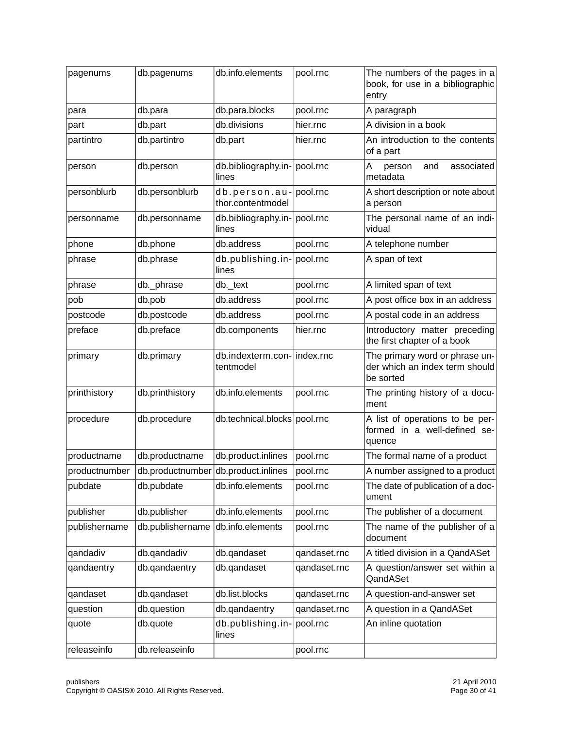| pagenums      | db.pagenums      | db.info.elements                               | pool.rnc     | The numbers of the pages in a<br>book, for use in a bibliographic<br>entry    |
|---------------|------------------|------------------------------------------------|--------------|-------------------------------------------------------------------------------|
| para          | db.para          | db.para.blocks                                 | pool.rnc     | A paragraph                                                                   |
| part          | db.part          | db.divisions                                   | hier.rnc     | A division in a book                                                          |
| partintro     | db.partintro     | db.part                                        | hier.rnc     | An introduction to the contents<br>of a part                                  |
| person        | db.person        | db.bibliography.in- pool.rnc<br>lines          |              | associated<br>Α<br>and<br>person<br>metadata                                  |
| personblurb   | db.personblurb   | $db.person.au$ - pool.rnc<br>thor.contentmodel |              | A short description or note about<br>a person                                 |
| personname    | db.personname    | db.bibliography.in- pool.rnc<br>lines          |              | The personal name of an indi-<br>vidual                                       |
| phone         | db.phone         | db.address                                     | pool.rnc     | A telephone number                                                            |
| phrase        | db.phrase        | db.publishing.in-pool.rnc<br>lines             |              | A span of text                                                                |
| phrase        | db._phrase       | db._text                                       | pool.rnc     | A limited span of text                                                        |
| pob           | db.pob           | db.address                                     | pool.rnc     | A post office box in an address                                               |
| postcode      | db.postcode      | db.address                                     | pool.rnc     | A postal code in an address                                                   |
| preface       | db.preface       | db.components                                  | hier.rnc     | Introductory matter preceding<br>the first chapter of a book                  |
| primary       | db.primary       | db.indexterm.con- index.rnc<br>tentmodel       |              | The primary word or phrase un-<br>der which an index term should<br>be sorted |
| printhistory  | db.printhistory  | db.info.elements                               | pool.rnc     | The printing history of a docu-<br>ment                                       |
| procedure     | db.procedure     | db.technical.blocks pool.rnc                   |              | A list of operations to be per-<br>formed in a well-defined se-<br>quence     |
| productname   | db.productname   | db.product.inlines                             | pool.rnc     | The formal name of a product                                                  |
| productnumber |                  | db.productnumber db.product.inlines            | pool.rnc     | A number assigned to a product                                                |
| pubdate       | db.pubdate       | db.info.elements                               | pool.rnc     | The date of publication of a doc-<br>ument                                    |
| publisher     | db.publisher     | db.info.elements                               | pool.rnc     | The publisher of a document                                                   |
| publishername | db.publishername | db.info.elements                               | pool.rnc     | The name of the publisher of a<br>document                                    |
| qandadiv      | db.qandadiv      | db.gandaset                                    | qandaset.rnc | A titled division in a QandASet                                               |
| qandaentry    | db.qandaentry    | db.qandaset                                    | qandaset.rnc | A question/answer set within a<br>QandASet                                    |
| qandaset      | db.qandaset      | db.list.blocks                                 | qandaset.rnc | A question-and-answer set                                                     |
| question      | db.question      | db.qandaentry                                  | qandaset.rnc | A question in a QandASet                                                      |
| quote         | db.quote         | db.publishing.in-<br>lines                     | pool.rnc     | An inline quotation                                                           |
| releaseinfo   | db.releaseinfo   |                                                | pool.rnc     |                                                                               |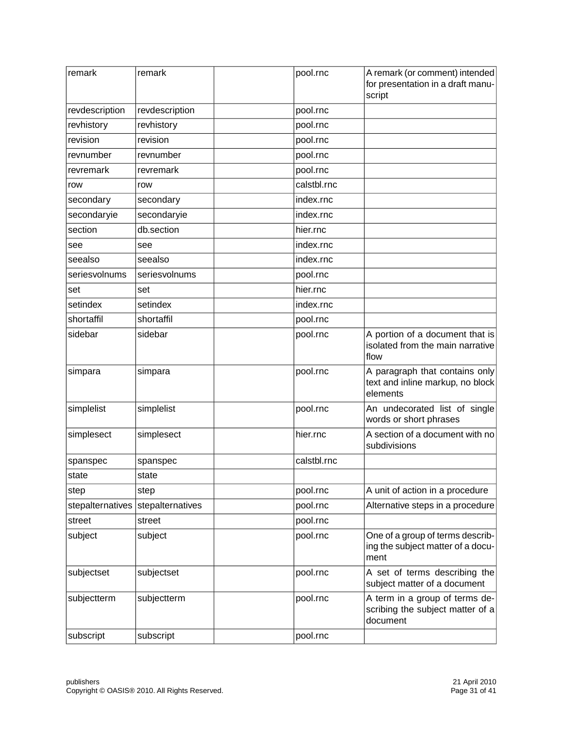| remark           | remark           | pool.rnc    | A remark (or comment) intended<br>for presentation in a draft manu-<br>script  |
|------------------|------------------|-------------|--------------------------------------------------------------------------------|
| revdescription   | revdescription   | pool.rnc    |                                                                                |
| revhistory       | revhistory       | pool.rnc    |                                                                                |
| revision         | revision         | pool.rnc    |                                                                                |
| revnumber        | revnumber        | pool.rnc    |                                                                                |
| revremark        | revremark        | pool.rnc    |                                                                                |
| row              | row              | calstbl.rnc |                                                                                |
| secondary        | secondary        | index.rnc   |                                                                                |
| secondaryie      | secondaryie      | index.rnc   |                                                                                |
| section          | db.section       | hier.rnc    |                                                                                |
| see              | see              | index.rnc   |                                                                                |
| seealso          | seealso          | index.rnc   |                                                                                |
| seriesvolnums    | seriesvolnums    | pool.rnc    |                                                                                |
| set              | set              | hier.rnc    |                                                                                |
| setindex         | setindex         | index.rnc   |                                                                                |
| shortaffil       | shortaffil       | pool.rnc    |                                                                                |
| sidebar          | sidebar          | pool.rnc    | A portion of a document that is<br>isolated from the main narrative<br>flow    |
| simpara          | simpara          | pool.rnc    | A paragraph that contains only<br>text and inline markup, no block<br>elements |
| simplelist       | simplelist       | pool.rnc    | An undecorated list of single<br>words or short phrases                        |
| simplesect       | simplesect       | hier.rnc    | A section of a document with no<br>subdivisions                                |
| spanspec         | spanspec         | calstbl.rnc |                                                                                |
| state            | state            |             |                                                                                |
| step             | step             | pool.rnc    | A unit of action in a procedure                                                |
| stepalternatives | stepalternatives | pool.rnc    | Alternative steps in a procedure                                               |
| street           | street           | pool.rnc    |                                                                                |
| subject          | subject          | pool.rnc    | One of a group of terms describ-<br>ing the subject matter of a docu-<br>ment  |
| subjectset       | subjectset       | pool.rnc    | A set of terms describing the<br>subject matter of a document                  |
| subjectterm      | subjectterm      | pool.rnc    | A term in a group of terms de-<br>scribing the subject matter of a<br>document |
| subscript        | subscript        | pool.rnc    |                                                                                |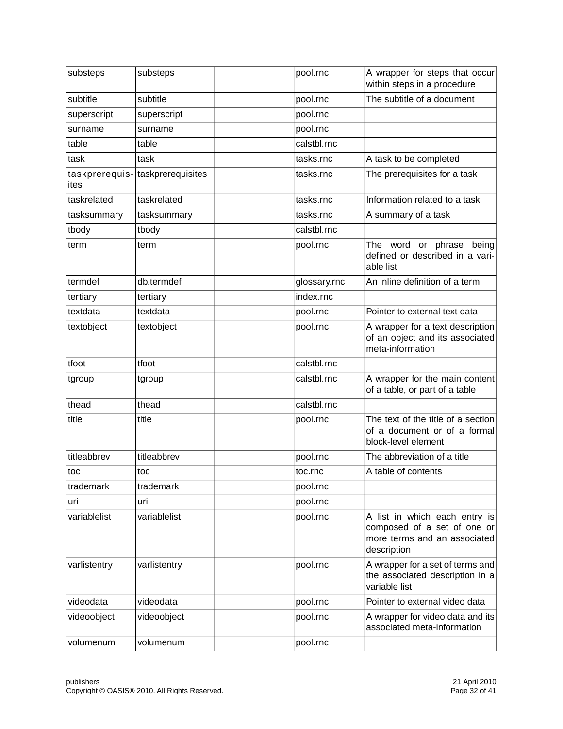| substeps               | substeps          | pool.rnc     | A wrapper for steps that occur<br>within steps in a procedure                                               |
|------------------------|-------------------|--------------|-------------------------------------------------------------------------------------------------------------|
| subtitle               | subtitle          | pool.rnc     | The subtitle of a document                                                                                  |
| superscript            | superscript       | pool.rnc     |                                                                                                             |
| surname                | surname           | pool.rnc     |                                                                                                             |
| table                  | table             | calstbl.rnc  |                                                                                                             |
| task                   | task              | tasks.rnc    | A task to be completed                                                                                      |
| taskprerequis-<br>ites | taskprerequisites | tasks.rnc    | The prerequisites for a task                                                                                |
| taskrelated            | taskrelated       | tasks.rnc    | Information related to a task                                                                               |
| tasksummary            | tasksummary       | tasks.rnc    | A summary of a task                                                                                         |
| tbody                  | tbody             | calstbl.rnc  |                                                                                                             |
| term                   | term              | pool.rnc     | word or phrase being<br>The<br>defined or described in a vari-<br>able list                                 |
| termdef                | db.termdef        | glossary.rnc | An inline definition of a term                                                                              |
| tertiary               | tertiary          | index.rnc    |                                                                                                             |
| textdata               | textdata          | pool.rnc     | Pointer to external text data                                                                               |
| textobject             | textobject        | pool.rnc     | A wrapper for a text description<br>of an object and its associated<br>meta-information                     |
| tfoot                  | tfoot             | calstbl.rnc  |                                                                                                             |
| tgroup                 | tgroup            | calstbl.rnc  | A wrapper for the main content<br>of a table, or part of a table                                            |
| thead                  | thead             | calstbl.rnc  |                                                                                                             |
| title                  | title             | pool.rnc     | The text of the title of a section<br>of a document or of a formal<br>block-level element                   |
| titleabbrev            | titleabbrev       | pool.rnc     | The abbreviation of a title                                                                                 |
| toc                    | toc               | toc.rnc      | A table of contents                                                                                         |
| trademark              | trademark         | pool.rnc     |                                                                                                             |
| uri                    | uri               | pool.rnc     |                                                                                                             |
| variablelist           | variablelist      | pool.rnc     | A list in which each entry is<br>composed of a set of one or<br>more terms and an associated<br>description |
| varlistentry           | varlistentry      | pool.rnc     | A wrapper for a set of terms and<br>the associated description in a<br>variable list                        |
| videodata              | videodata         | pool.rnc     | Pointer to external video data                                                                              |
| videoobject            | videoobject       | pool.rnc     | A wrapper for video data and its<br>associated meta-information                                             |
| volumenum              | volumenum         | pool.rnc     |                                                                                                             |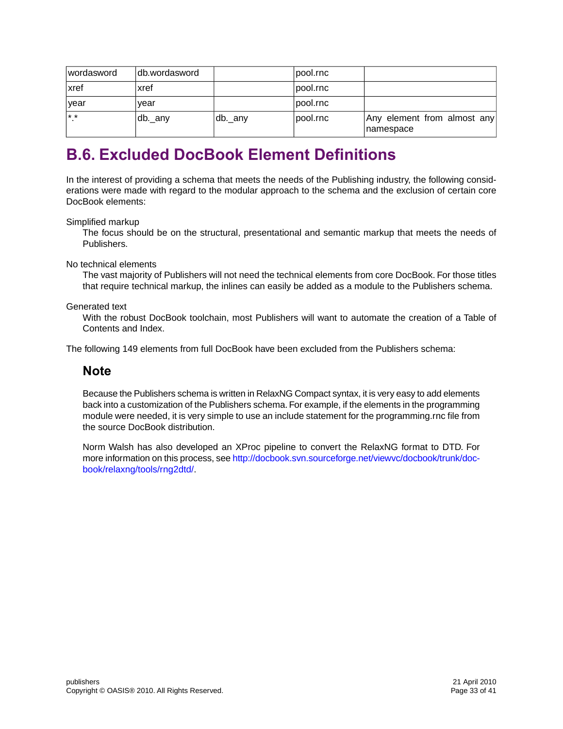| lwordasword | ldb.wordasword       |         | pool.rnc |                                          |
|-------------|----------------------|---------|----------|------------------------------------------|
| ∣xref       | xref                 |         | pool.rnc |                                          |
| ∣vear       | vear                 |         | pool.rnc |                                          |
| 1* *        | <sub>⊥</sub> db._any | db._any | pool.rnc | Any element from almost any<br>namespace |

# <span id="page-32-0"></span>**B.6. Excluded DocBook Element Definitions**

In the interest of providing a schema that meets the needs of the Publishing industry, the following considerations were made with regard to the modular approach to the schema and the exclusion of certain core DocBook elements:

Simplified markup

The focus should be on the structural, presentational and semantic markup that meets the needs of Publishers.

No technical elements

The vast majority of Publishers will not need the technical elements from core DocBook. For those titles that require technical markup, the inlines can easily be added as a module to the Publishers schema.

Generated text

With the robust DocBook toolchain, most Publishers will want to automate the creation of a Table of Contents and Index.

The following 149 elements from full DocBook have been excluded from the Publishers schema:

## **Note**

Because the Publishers schema is written in RelaxNG Compact syntax, it is very easy to add elements back into a customization of the Publishers schema. For example, if the elements in the programming module were needed, it is very simple to use an include statement for the programming.rnc file from the source DocBook distribution.

Norm Walsh has also developed an XProc pipeline to convert the RelaxNG format to DTD. For more information on this process, see [http://docbook.svn.sourceforge.net/viewvc/docbook/trunk/doc](http://docbook.svn.sourceforge.net/viewvc/docbook/trunk/docbook/relaxng/tools/rng2dtd/)[book/relaxng/tools/rng2dtd/.](http://docbook.svn.sourceforge.net/viewvc/docbook/trunk/docbook/relaxng/tools/rng2dtd/)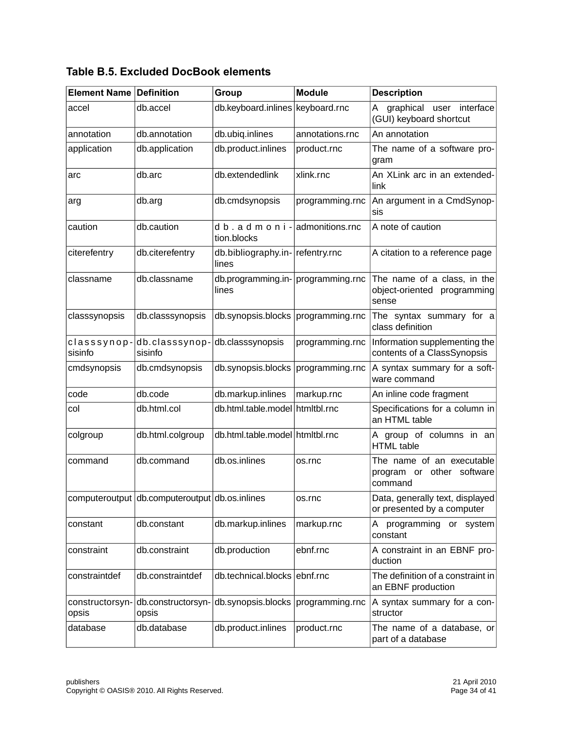| <b>Element Name Definition</b> |                                                | Group                                              | <b>Module</b>   | <b>Description</b>                                                  |
|--------------------------------|------------------------------------------------|----------------------------------------------------|-----------------|---------------------------------------------------------------------|
| accel                          | db.accel                                       | db.keyboard.inlines keyboard.rnc                   |                 | graphical<br>user interface<br>A<br>(GUI) keyboard shortcut         |
| annotation                     | db.annotation                                  | db.ubiq.inlines                                    | annotations.rnc | An annotation                                                       |
| application                    | db.application                                 | db.product.inlines                                 | product.rnc     | The name of a software pro-<br>gram                                 |
| arc                            | db.arc                                         | db.extendedlink                                    | xlink.rnc       | An XLink arc in an extended-<br>link                                |
| arg                            | db.arg                                         | db.cmdsynopsis                                     | programming.rnc | An argument in a CmdSynop-<br>sis                                   |
| caution                        | db.caution                                     | d b . a d m o n i - admonitions.rnc<br>tion.blocks |                 | A note of caution                                                   |
| citerefentry                   | db.citerefentry                                | db.bibliography.in- refentry.rnc<br>lines          |                 | A citation to a reference page                                      |
| classname                      | db.classname                                   | db.programming.in- programming.rnc<br>lines        |                 | The name of a class, in the<br>object-oriented programming<br>sense |
| classsynopsis                  | db.classsynopsis                               | db.synopsis.blocks programming.rnc                 |                 | The syntax summary for a<br>class definition                        |
| classsynop-<br>sisinfo         | db.classsynop-<br>sisinfo                      | db.classsynopsis                                   | programming.rnc | Information supplementing the<br>contents of a ClassSynopsis        |
| cmdsynopsis                    | db.cmdsynopsis                                 | db.synopsis.blocks                                 | programming.rnc | A syntax summary for a soft-<br>ware command                        |
| code                           | db.code                                        | db.markup.inlines                                  | markup.rnc      | An inline code fragment                                             |
| col                            | db.html.col                                    | db.html.table.model htmltbl.rnc                    |                 | Specifications for a column in<br>an HTML table                     |
| colgroup                       | db.html.colgroup                               | db.html.table.model htmltbl.rnc                    |                 | A group of columns in an<br><b>HTML</b> table                       |
| command                        | db.command                                     | db.os.inlines                                      | os.rnc          | The name of an executable<br>program or other software<br>command   |
|                                | computeroutput db.computeroutput db.os.inlines |                                                    | os.rnc          | Data, generally text, displayed<br>or presented by a computer       |
| constant                       | db.constant                                    | db.markup.inlines                                  | markup.rnc      | programming<br>or system<br>A<br>constant                           |
| constraint                     | db.constraint                                  | db.production                                      | ebnf.rnc        | A constraint in an EBNF pro-<br>duction                             |
| constraintdef                  | db.constraintdef                               | db.technical.blocks ebnf.rnc                       |                 | The definition of a constraint in<br>an EBNF production             |
| constructorsyn-<br>opsis       | db.constructorsyn-<br>opsis                    | db.synopsis.blocks                                 | programming.rnc | A syntax summary for a con-<br>structor                             |
| database                       | db.database                                    | db.product.inlines                                 | product.rnc     | The name of a database, or<br>part of a database                    |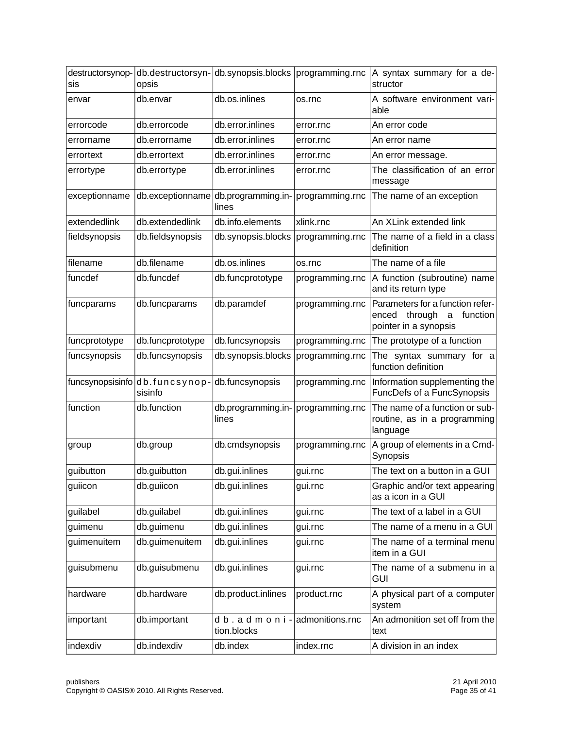| destructorsynop-<br>sis | opsis                                     | db.destructorsyn- db.synopsis.blocks         | programming.rnc | A syntax summary for a de-<br>structor                                                         |
|-------------------------|-------------------------------------------|----------------------------------------------|-----------------|------------------------------------------------------------------------------------------------|
| envar                   | db.envar                                  | db.os.inlines                                | os.rnc          | A software environment vari-<br>able                                                           |
| errorcode               | db.errorcode                              | db.error.inlines                             | error.rnc       | An error code                                                                                  |
| errorname               | db.errorname                              | db.error.inlines                             | error.rnc       | An error name                                                                                  |
| errortext               | db.errortext                              | db.error.inlines                             | error.rnc       | An error message.                                                                              |
| errortype               | db.errortype                              | db.error.inlines                             | error.rnc       | The classification of an error<br>message                                                      |
| exceptionname           |                                           | db.exceptionname db.programming.in-<br>lines | programming.rnc | The name of an exception                                                                       |
| extendedlink            | db.extendedlink                           | db.info.elements                             | xlink.rnc       | An XLink extended link                                                                         |
| fieldsynopsis           | db.fieldsynopsis                          | db.synopsis.blocks                           | programming.rnc | The name of a field in a class<br>definition                                                   |
| filename                | db.filename                               | db.os.inlines                                | os.rnc          | The name of a file                                                                             |
| funcdef                 | db.funcdef                                | db.funcprototype                             | programming.rnc | A function (subroutine) name<br>and its return type                                            |
| funcparams              | db.funcparams                             | db.paramdef                                  | programming.rnc | Parameters for a function refer-<br>through<br>function<br>enced<br>a<br>pointer in a synopsis |
| funcprototype           | db.funcprototype                          | db.funcsynopsis                              | programming.rnc | The prototype of a function                                                                    |
| funcsynopsis            | db.funcsynopsis                           | db.synopsis.blocks                           | programming.rnc | The syntax summary for a<br>function definition                                                |
|                         | funcsynopsisinfo db.funcsynop-<br>sisinfo | db.funcsynopsis                              | programming.rnc | Information supplementing the<br>FuncDefs of a FuncSynopsis                                    |
| function                | db.function                               | db.programming.in-<br>lines                  | programming.rnc | The name of a function or sub-<br>routine, as in a programming<br>language                     |
| group                   | db.group                                  | db.cmdsynopsis                               | programming.rnc | A group of elements in a Cmd-<br>Synopsis                                                      |
| guibutton               | db.guibutton                              | db.gui.inlines                               | gui.rnc         | The text on a button in a GUI                                                                  |
| guiicon                 | db.guiicon                                | db.gui.inlines                               | gui.rnc         | Graphic and/or text appearing<br>as a icon in a GUI                                            |
| guilabel                | db.guilabel                               | db.gui.inlines                               | gui.rnc         | The text of a label in a GUI                                                                   |
| guimenu                 | db.guimenu                                | db.gui.inlines                               | gui.rnc         | The name of a menu in a GUI                                                                    |
| guimenuitem             | db.guimenuitem                            | db.gui.inlines                               | gui.rnc         | The name of a terminal menu<br>item in a GUI                                                   |
| guisubmenu              | db.guisubmenu                             | db.gui.inlines                               | gui.rnc         | The name of a submenu in a<br><b>GUI</b>                                                       |
| hardware                | db.hardware                               | db.product.inlines                           | product.rnc     | A physical part of a computer<br>system                                                        |
| important               | db.important                              | db.admoni-<br>tion.blocks                    | admonitions.rnc | An admonition set off from the<br>text                                                         |
| indexdiv                | db.indexdiv                               | db.index                                     | index.rnc       | A division in an index                                                                         |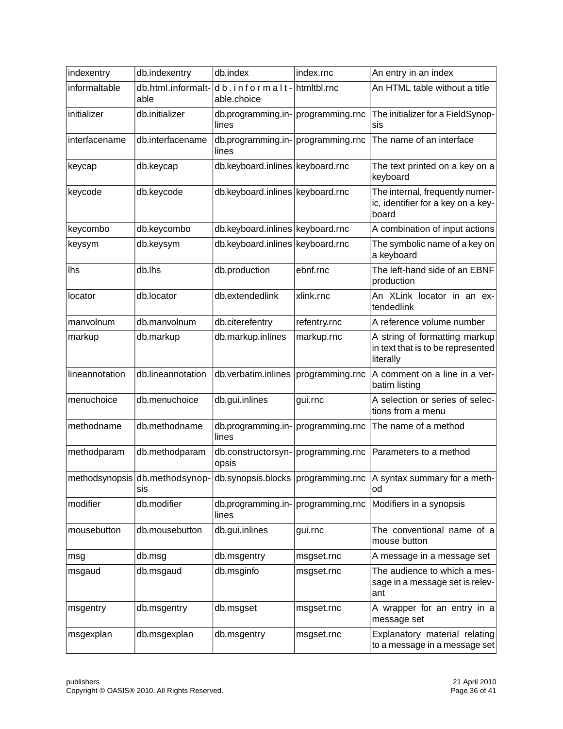| indexentry     | db.indexentry                         | db.index                                    | index.rnc       | An entry in an index                                                            |
|----------------|---------------------------------------|---------------------------------------------|-----------------|---------------------------------------------------------------------------------|
| informaltable  | db.html.informalt-<br>able            | db.informalt-<br>able.choice                | htmitbl.rnc     | An HTML table without a title                                                   |
| initializer    | db.initializer                        | db.programming.in- programming.rnc<br>lines |                 | The initializer for a FieldSynop-<br>sis                                        |
| interfacename  | db.interfacename                      | db.programming.in- programming.rnc<br>lines |                 | The name of an interface                                                        |
| keycap         | db.keycap                             | db.keyboard.inlines keyboard.rnc            |                 | The text printed on a key on a<br>keyboard                                      |
| keycode        | db.keycode                            | db.keyboard.inlines keyboard.rnc            |                 | The internal, frequently numer-<br>ic, identifier for a key on a key-<br>board  |
| keycombo       | db.keycombo                           | db.keyboard.inlines keyboard.rnc            |                 | A combination of input actions                                                  |
| keysym         | db.keysym                             | db.keyboard.inlines keyboard.rnc            |                 | The symbolic name of a key on<br>a keyboard                                     |
| lhs            | db.lhs                                | db.production                               | ebnf.rnc        | The left-hand side of an EBNF<br>production                                     |
| locator        | db.locator                            | db.extendedlink                             | xlink.rnc       | An XLink locator in an ex-<br>tendedlink                                        |
| manvolnum      | db.manvolnum                          | db.citerefentry                             | refentry.rnc    | A reference volume number                                                       |
| markup         | db.markup                             | db.markup.inlines                           | markup.rnc      | A string of formatting markup<br>in text that is to be represented<br>literally |
| lineannotation | db.lineannotation                     | db.verbatim.inlines                         | programming.rnc | A comment on a line in a ver-<br>batim listing                                  |
| menuchoice     | db.menuchoice                         | db.gui.inlines                              | gui.rnc         | A selection or series of selec-<br>tions from a menu                            |
| methodname     | db.methodname                         | db.programming.in- programming.rnc<br>lines |                 | The name of a method                                                            |
| methodparam    | db.methodparam                        | db.constructorsyn- programming.rnc<br>opsis |                 | Parameters to a method                                                          |
|                | methodsynopsis db.methodsynop-<br>sis |                                             |                 | db.synopsis.blocks programming.rnc A syntax summary for a meth-<br>od           |
| modifier       | db.modifier                           | db.programming.in- programming.rnc<br>lines |                 | Modifiers in a synopsis                                                         |
| mousebutton    | db.mousebutton                        | db.gui.inlines                              | gui.rnc         | The conventional name of a<br>mouse button                                      |
| msg            | db.msg                                | db.msgentry                                 | msgset.rnc      | A message in a message set                                                      |
| msgaud         | db.msgaud                             | db.msginfo                                  | msgset.rnc      | The audience to which a mes-<br>sage in a message set is relev-<br>ant          |
| msgentry       | db.msgentry                           | db.msgset                                   | msgset.rnc      | A wrapper for an entry in a<br>message set                                      |
| msgexplan      | db.msgexplan                          | db.msgentry                                 | msgset.rnc      | Explanatory material relating<br>to a message in a message set                  |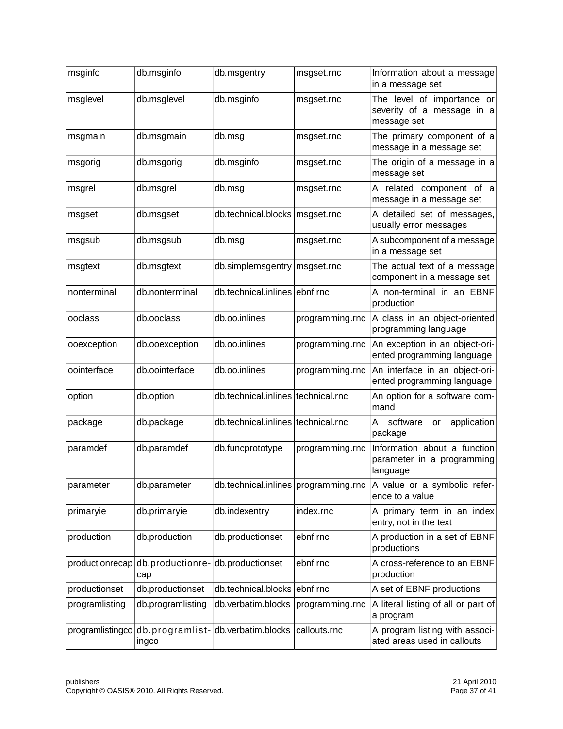| msginfo          | db.msginfo              | db.msgentry                          | msgset.rnc      | Information about a message<br>in a message set                         |
|------------------|-------------------------|--------------------------------------|-----------------|-------------------------------------------------------------------------|
| msglevel         | db.msglevel             | db.msginfo                           | msgset.rnc      | The level of importance or<br>severity of a message in a<br>message set |
| msgmain          | db.msgmain              | db.msg                               | msgset.rnc      | The primary component of a<br>message in a message set                  |
| msgorig          | db.msgorig              | db.msginfo                           | msgset.rnc      | The origin of a message in a<br>message set                             |
| msgrel           | db.msgrel               | db.msg                               | msgset.rnc      | A related component of a<br>message in a message set                    |
| msgset           | db.msgset               | db.technical.blocks   msgset.rnc     |                 | A detailed set of messages,<br>usually error messages                   |
| msgsub           | db.msgsub               | db.msg                               | msgset.rnc      | A subcomponent of a message<br>in a message set                         |
| msgtext          | db.msgtext              | db.simplemsgentry   msgset.rnc       |                 | The actual text of a message<br>component in a message set              |
| nonterminal      | db.nonterminal          | db.technical.inlines ebnf.rnc        |                 | A non-terminal in an EBNF<br>production                                 |
| ooclass          | db.ooclass              | db.oo.inlines                        | programming.rnc | A class in an object-oriented<br>programming language                   |
| ooexception      | db.ooexception          | db.oo.inlines                        | programming.rnc | An exception in an object-ori-<br>ented programming language            |
| oointerface      | db.oointerface          | db.oo.inlines                        | programming.rnc | An interface in an object-ori-<br>ented programming language            |
| option           | db.option               | db.technical.inlines technical.rnc   |                 | An option for a software com-<br>mand                                   |
| package          | db.package              | db.technical.inlines technical.rnc   |                 | Α<br>software<br>application<br>or<br>package                           |
| paramdef         | db.paramdef             | db.funcprototype                     | programming.rnc | Information about a function<br>parameter in a programming<br>language  |
| parameter        | db.parameter            | db.technical.inlines programming.rnc |                 | A value or a symbolic refer-<br>ence to a value                         |
| primaryie        | db.primaryie            | db.indexentry                        | index.rnc       | A primary term in an index<br>entry, not in the text                    |
| production       | db.production           | db.productionset                     | ebnf.rnc        | A production in a set of EBNF<br>productions                            |
| productionrecap  | db.productionre-<br>cap | db.productionset                     | ebnf.rnc        | A cross-reference to an EBNF<br>production                              |
| productionset    | db.productionset        | db.technical.blocks                  | ebnf.rnc        | A set of EBNF productions                                               |
| programlisting   | db.programlisting       | db.verbatim.blocks                   | programming.rnc | A literal listing of all or part of<br>a program                        |
| programlistingco | ingco                   | db.programlist-db.verbatim.blocks    | callouts.rnc    | A program listing with associ-<br>ated areas used in callouts           |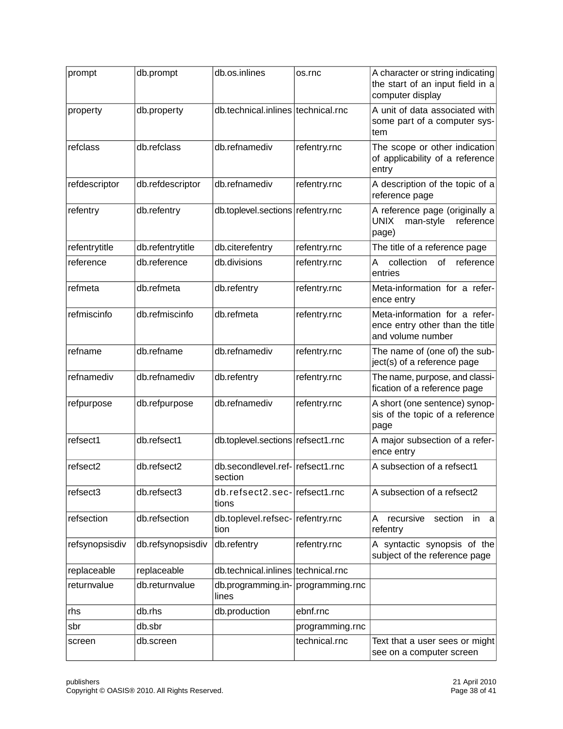| prompt         | db.prompt         | db.os.inlines                               | os.rnc          | A character or string indicating<br>the start of an input field in a<br>computer display |
|----------------|-------------------|---------------------------------------------|-----------------|------------------------------------------------------------------------------------------|
| property       | db.property       | db.technical.inlines technical.rnc          |                 | A unit of data associated with<br>some part of a computer sys-<br>tem                    |
| refclass       | db.refclass       | db.refnamediv                               | refentry.rnc    | The scope or other indication<br>of applicability of a reference<br>entry                |
| refdescriptor  | db.refdescriptor  | db.refnamediv                               | refentry.rnc    | A description of the topic of a<br>reference page                                        |
| refentry       | db.refentry       | db.toplevel.sections refentry.rnc           |                 | A reference page (originally a<br><b>UNIX</b><br>man-style<br>reference<br>page)         |
| refentrytitle  | db.refentrytitle  | db.citerefentry                             | refentry.rnc    | The title of a reference page                                                            |
| reference      | db.reference      | db.divisions                                | refentry.rnc    | A<br>collection<br>of<br>reference<br>entries                                            |
| refmeta        | db.refmeta        | db.refentry                                 | refentry.rnc    | Meta-information for a refer-<br>ence entry                                              |
| refmiscinfo    | db.refmiscinfo    | db.refmeta                                  | refentry.rnc    | Meta-information for a refer-<br>ence entry other than the title<br>and volume number    |
| refname        | db.refname        | db.refnamediv                               | refentry.rnc    | The name of (one of) the sub-<br>ject(s) of a reference page                             |
| refnamediv     | db.refnamediv     | db.refentry                                 | refentry.rnc    | The name, purpose, and classi-<br>fication of a reference page                           |
| refpurpose     | db.refpurpose     | db.refnamediv                               | refentry.rnc    | A short (one sentence) synop-<br>sis of the topic of a reference<br>page                 |
| refsect1       | db.refsect1       | db.toplevel.sections refsect1.rnc           |                 | A major subsection of a refer-<br>ence entry                                             |
| refsect2       | db.refsect2       | db.secondlevel.ref- refsect1.rnc<br>section |                 | A subsection of a refsect1                                                               |
| refsect3       | db.refsect3       | db.refsect2.sec-refsect1.rnc<br>tions       |                 | A subsection of a refsect2                                                               |
| refsection     | db.refsection     | db.toplevel.refsec- refentry.rnc<br>tion    |                 | section<br>A<br>recursive<br>in<br>a<br>refentry                                         |
| refsynopsisdiv | db.refsynopsisdiv | db.refentry                                 | refentry.rnc    | A syntactic synopsis of the<br>subject of the reference page                             |
| replaceable    | replaceable       | db.technical.inlines technical.rnc          |                 |                                                                                          |
| returnvalue    | db.returnvalue    | db.programming.in- programming.rnc<br>lines |                 |                                                                                          |
| rhs            | db.rhs            | db.production                               | ebnf.rnc        |                                                                                          |
| sbr            | db.sbr            |                                             | programming.rnc |                                                                                          |
| screen         | db.screen         |                                             | technical.rnc   | Text that a user sees or might<br>see on a computer screen                               |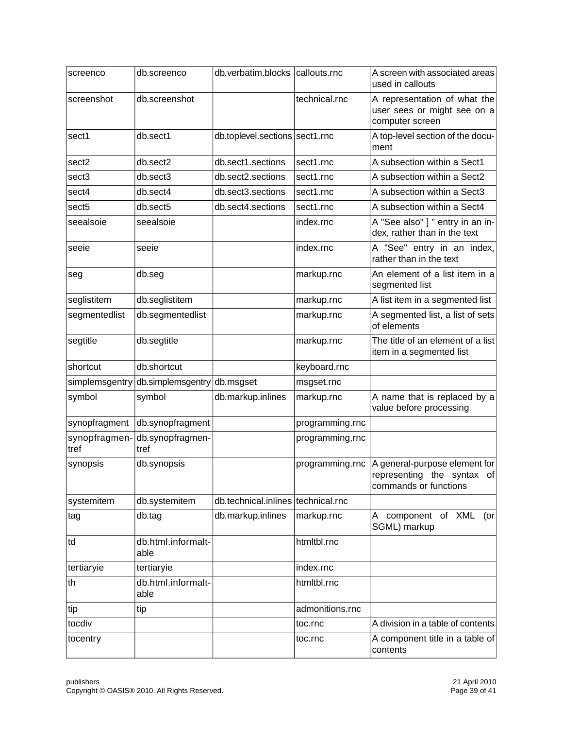| screenco              | db.screenco                 | db.verbatim.blocks callouts.rnc    |                 | A screen with associated areas<br>used in callouts                                   |
|-----------------------|-----------------------------|------------------------------------|-----------------|--------------------------------------------------------------------------------------|
| screenshot            | db.screenshot               |                                    | technical.rnc   | A representation of what the<br>user sees or might see on a<br>computer screen       |
| sect1                 | db.sect1                    | db.toplevel.sections sect1.rnc     |                 | A top-level section of the docu-<br>ment                                             |
| sect2                 | db.sect2                    | db.sect1.sections                  | sect1.rnc       | A subsection within a Sect1                                                          |
| sect3                 | db.sect3                    | db.sect2.sections                  | sect1.rnc       | A subsection within a Sect2                                                          |
| sect4                 | db.sect4                    | db.sect3.sections                  | sect1.rnc       | A subsection within a Sect3                                                          |
| sect5                 | db.sect5                    | db.sect4.sections                  | sect1.rnc       | A subsection within a Sect4                                                          |
| seealsoie             | seealsoie                   |                                    | index.rnc       | A "See also" ] " entry in an in-<br>dex, rather than in the text                     |
| seeie                 | seeie                       |                                    | index.rnc       | A "See" entry in an index,<br>rather than in the text                                |
| seg                   | db.seg                      |                                    | markup.rnc      | An element of a list item in a<br>segmented list                                     |
| seglistitem           | db.seglistitem              |                                    | markup.rnc      | A list item in a segmented list                                                      |
| segmentedlist         | db.segmentedlist            |                                    | markup.rnc      | A segmented list, a list of sets<br>of elements                                      |
| segtitle              | db.segtitle                 |                                    | markup.rnc      | The title of an element of a list<br>item in a segmented list                        |
| shortcut              | db.shortcut                 |                                    | keyboard.rnc    |                                                                                      |
| simplemsgentry        | db.simplemsgentry db.msgset |                                    | msgset.rnc      |                                                                                      |
| symbol                | symbol                      | db.markup.inlines                  | markup.rnc      | A name that is replaced by a<br>value before processing                              |
| synopfragment         | db.synopfragment            |                                    | programming.rnc |                                                                                      |
| synopfragmen-<br>tref | db.synopfragmen-<br>tref    |                                    | programming.rnc |                                                                                      |
| synopsis              | db.synopsis                 |                                    | programming.rnc | A general-purpose element for<br>representing the syntax of<br>commands or functions |
| systemitem            | db.systemitem               | db.technical.inlines technical.rnc |                 |                                                                                      |
| tag                   | db.tag                      | db.markup.inlines                  | markup.rnc      | A component of XML<br>$($ or<br>SGML) markup                                         |
| td                    | db.html.informalt-<br>able  |                                    | htmltbl.rnc     |                                                                                      |
| tertiaryie            | tertiaryie                  |                                    | index.rnc       |                                                                                      |
| th                    | db.html.informalt-<br>able  |                                    | htmltbl.rnc     |                                                                                      |
| tip                   | tip                         |                                    | admonitions.rnc |                                                                                      |
| tocdiv                |                             |                                    | toc.rnc         | A division in a table of contents                                                    |
| tocentry              |                             |                                    | toc.rnc         | A component title in a table of<br>contents                                          |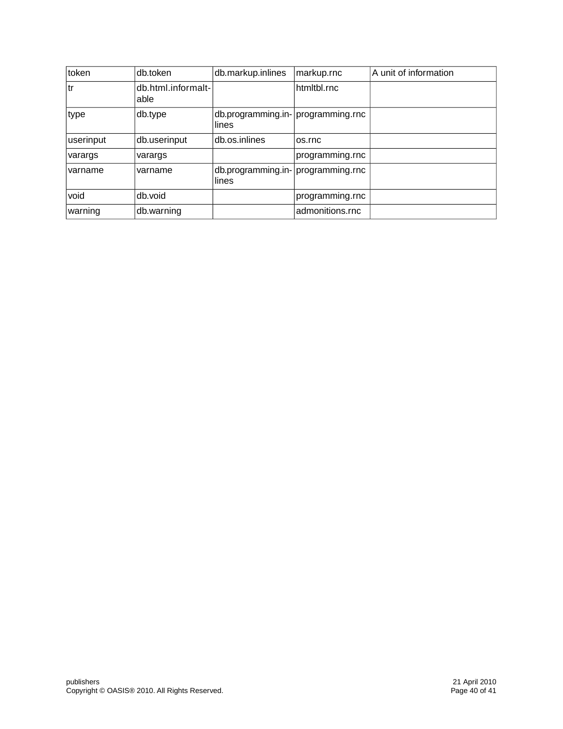| token     | db.token                   | db.markup.inlines                           | markup.rnc      | A unit of information |
|-----------|----------------------------|---------------------------------------------|-----------------|-----------------------|
| l tr      | db.html.informalt-<br>able |                                             | htmitbl.rnc     |                       |
| type      | db.type                    | db.programming.in- programming.rnc<br>lines |                 |                       |
| userinput | db.userinput               | db.os.inlines                               | os.rnc          |                       |
| varargs   | varargs                    |                                             | programming.rnc |                       |
| varname   | varname                    | db.programming.in- programming.rnc<br>lines |                 |                       |
| void      | db.void                    |                                             | programming.rnc |                       |
| warning   | db.warning                 |                                             | admonitions.rnc |                       |